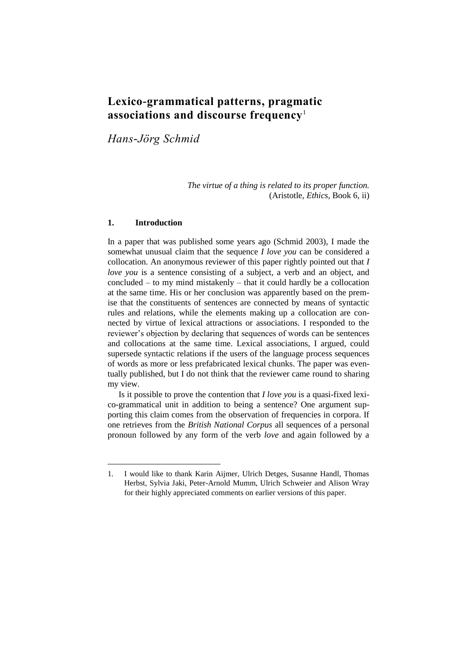# **Lexico-grammatical patterns, pragmatic associations and discourse frequency**<sup>1</sup>

*Hans-Jörg Schmid*

*The virtue of a thing is related to its proper function.*  (Aristotle, *Ethics*, Book 6, ii)

## **1. Introduction**

 $\overline{a}$ 

In a paper that was published some years ago (Schmid 2003), I made the somewhat unusual claim that the sequence *I love you* can be considered a collocation. An anonymous reviewer of this paper rightly pointed out that *I love you* is a sentence consisting of a subject, a verb and an object, and concluded – to my mind mistakenly – that it could hardly be a collocation at the same time. His or her conclusion was apparently based on the premise that the constituents of sentences are connected by means of syntactic rules and relations, while the elements making up a collocation are connected by virtue of lexical attractions or associations. I responded to the reviewer's objection by declaring that sequences of words can be sentences and collocations at the same time. Lexical associations, I argued, could supersede syntactic relations if the users of the language process sequences of words as more or less prefabricated lexical chunks. The paper was eventually published, but I do not think that the reviewer came round to sharing my view.

Is it possible to prove the contention that *I love you* is a quasi-fixed lexico-grammatical unit in addition to being a sentence? One argument supporting this claim comes from the observation of frequencies in corpora. If one retrieves from the *British National Corpus* all sequences of a personal pronoun followed by any form of the verb *love* and again followed by a

<sup>1.</sup> I would like to thank Karin Aijmer, Ulrich Detges, Susanne Handl, Thomas Herbst, Sylvia Jaki, Peter-Arnold Mumm, Ulrich Schweier and Alison Wray for their highly appreciated comments on earlier versions of this paper.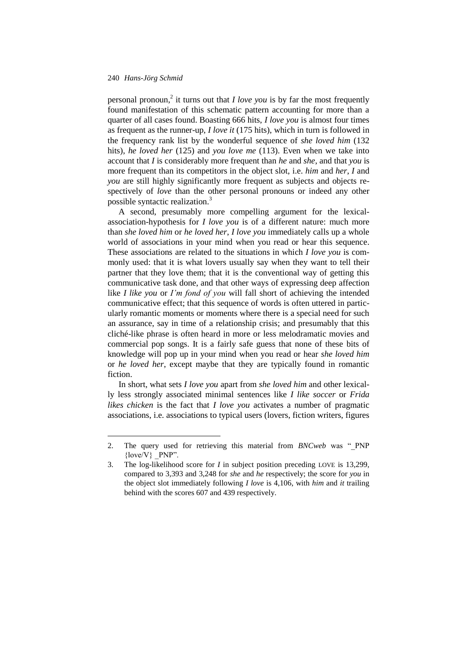$\overline{a}$ 

personal pronoun,<sup>2</sup> it turns out that  $I$  *love you* is by far the most frequently found manifestation of this schematic pattern accounting for more than a quarter of all cases found. Boasting 666 hits, *I love you* is almost four times as frequent as the runner-up, *I love it* (175 hits), which in turn is followed in the frequency rank list by the wonderful sequence of *she loved him* (132 hits), *he loved her* (125) and *you love me* (113). Even when we take into account that *I* is considerably more frequent than *he* and *she*, and that *you* is more frequent than its competitors in the object slot, i.e. *him* and *her*, *I* and *you* are still highly significantly more frequent as subjects and objects respectively of *love* than the other personal pronouns or indeed any other possible syntactic realization. 3

A second, presumably more compelling argument for the lexicalassociation-hypothesis for *I love you* is of a different nature: much more than *she loved him* or *he loved her*, *I love you* immediately calls up a whole world of associations in your mind when you read or hear this sequence. These associations are related to the situations in which *I love you* is commonly used: that it is what lovers usually say when they want to tell their partner that they love them; that it is the conventional way of getting this communicative task done, and that other ways of expressing deep affection like *I like you* or *I'm fond of you* will fall short of achieving the intended communicative effect; that this sequence of words is often uttered in particularly romantic moments or moments where there is a special need for such an assurance, say in time of a relationship crisis; and presumably that this cliché-like phrase is often heard in more or less melodramatic movies and commercial pop songs. It is a fairly safe guess that none of these bits of knowledge will pop up in your mind when you read or hear *she loved him* or *he loved her*, except maybe that they are typically found in romantic fiction.

In short, what sets *I love you* apart from *she loved him* and other lexically less strongly associated minimal sentences like *I like soccer* or *Frida likes chicken* is the fact that *I love you* activates a number of pragmatic associations, i.e. associations to typical users (lovers, fiction writers, figures

<sup>2.</sup> The query used for retrieving this material from *BNCweb* was " PNP  $\{love/V\}$  PNP".

<sup>3.</sup> The log-likelihood score for *I* in subject position preceding LOVE is 13,299, compared to 3,393 and 3,248 for *she* and *he* respectively; the score for *you* in the object slot immediately following *I love* is 4,106, with *him* and *it* trailing behind with the scores 607 and 439 respectively.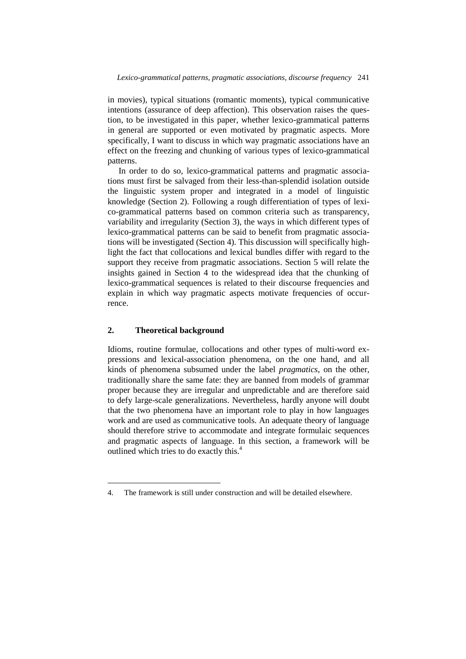in movies), typical situations (romantic moments), typical communicative intentions (assurance of deep affection). This observation raises the question, to be investigated in this paper, whether lexico-grammatical patterns in general are supported or even motivated by pragmatic aspects. More specifically, I want to discuss in which way pragmatic associations have an effect on the freezing and chunking of various types of lexico-grammatical patterns.

In order to do so, lexico-grammatical patterns and pragmatic associations must first be salvaged from their less-than-splendid isolation outside the linguistic system proper and integrated in a model of linguistic knowledge (Section 2). Following a rough differentiation of types of lexico-grammatical patterns based on common criteria such as transparency, variability and irregularity (Section 3), the ways in which different types of lexico-grammatical patterns can be said to benefit from pragmatic associations will be investigated (Section 4). This discussion will specifically highlight the fact that collocations and lexical bundles differ with regard to the support they receive from pragmatic associations. Section 5 will relate the insights gained in Section 4 to the widespread idea that the chunking of lexico-grammatical sequences is related to their discourse frequencies and explain in which way pragmatic aspects motivate frequencies of occurrence.

## **2. Theoretical background**

 $\overline{a}$ 

Idioms, routine formulae, collocations and other types of multi-word expressions and lexical-association phenomena, on the one hand, and all kinds of phenomena subsumed under the label *pragmatics*, on the other, traditionally share the same fate: they are banned from models of grammar proper because they are irregular and unpredictable and are therefore said to defy large-scale generalizations. Nevertheless, hardly anyone will doubt that the two phenomena have an important role to play in how languages work and are used as communicative tools. An adequate theory of language should therefore strive to accommodate and integrate formulaic sequences and pragmatic aspects of language. In this section, a framework will be outlined which tries to do exactly this. 4

<sup>4.</sup> The framework is still under construction and will be detailed elsewhere.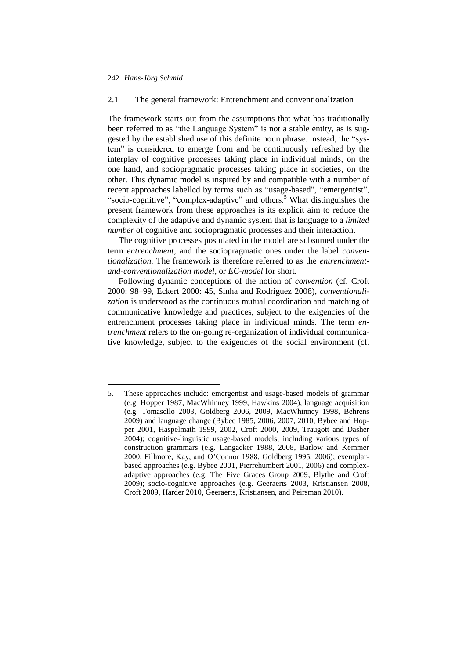$\overline{a}$ 

## 2.1 The general framework: Entrenchment and conventionalization

The framework starts out from the assumptions that what has traditionally been referred to as "the Language System" is not a stable entity, as is suggested by the established use of this definite noun phrase. Instead, the "system" is considered to emerge from and be continuously refreshed by the interplay of cognitive processes taking place in individual minds, on the one hand, and sociopragmatic processes taking place in societies, on the other. This dynamic model is inspired by and compatible with a number of recent approaches labelled by terms such as "usage-based", "emergentist", "socio-cognitive", "complex-adaptive" and others.<sup>5</sup> What distinguishes the present framework from these approaches is its explicit aim to reduce the complexity of the adaptive and dynamic system that is language to a *limited number* of cognitive and sociopragmatic processes and their interaction.

The cognitive processes postulated in the model are subsumed under the term *entrenchment*, and the sociopragmatic ones under the label *conventionalization*. The framework is therefore referred to as the *entrenchmentand-conventionalization model*, or *EC-model* for short.

Following dynamic conceptions of the notion of *convention* (cf. Croft 2000: 98–99, Eckert 2000: 45, Sinha and Rodriguez 2008), *conventionalization* is understood as the continuous mutual coordination and matching of communicative knowledge and practices, subject to the exigencies of the entrenchment processes taking place in individual minds. The term *entrenchment* refers to the on-going re-organization of individual communicative knowledge, subject to the exigencies of the social environment (cf.

<sup>5.</sup> These approaches include: emergentist and usage-based models of grammar (e.g. Hopper 1987, MacWhinney 1999, Hawkins 2004), language acquisition (e.g. Tomasello 2003, Goldberg 2006, 2009, MacWhinney 1998, Behrens 2009) and language change (Bybee 1985, 2006, 2007, 2010, Bybee and Hopper 2001, Haspelmath 1999, 2002, Croft 2000, 2009, Traugott and Dasher 2004); cognitive-linguistic usage-based models, including various types of construction grammars (e.g. Langacker 1988, 2008, Barlow and Kemmer 2000, Fillmore, Kay, and O'Connor 1988, Goldberg 1995, 2006); exemplarbased approaches (e.g. Bybee 2001, Pierrehumbert 2001, 2006) and complexadaptive approaches (e.g. The Five Graces Group 2009, Blythe and Croft 2009); socio-cognitive approaches (e.g. Geeraerts 2003, Kristiansen 2008, Croft 2009, Harder 2010, Geeraerts, Kristiansen, and Peirsman 2010).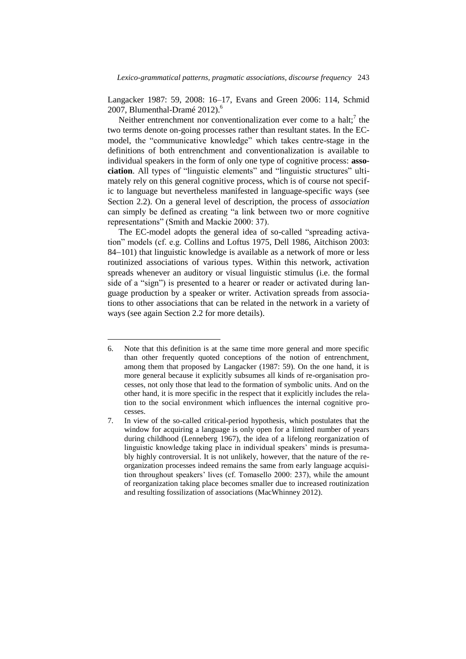Langacker 1987: 59, 2008: 16–17, Evans and Green 2006: 114, Schmid 2007, Blumenthal-Dramé  $2012$ <sup>6</sup>

Neither entrenchment nor conventionalization ever come to a halt;<sup>7</sup> the two terms denote on-going processes rather than resultant states. In the ECmodel, the "communicative knowledge" which takes centre-stage in the definitions of both entrenchment and conventionalization is available to individual speakers in the form of only one type of cognitive process: **association**. All types of "linguistic elements" and "linguistic structures" ultimately rely on this general cognitive process, which is of course not specific to language but nevertheless manifested in language-specific ways (see Section 2.2). On a general level of description, the process of *association* can simply be defined as creating "a link between two or more cognitive representations" (Smith and Mackie 2000: 37).

The EC-model adopts the general idea of so-called "spreading activation" models (cf. e.g. Collins and Loftus 1975, Dell 1986, Aitchison 2003:  $84-101$ ) that linguistic knowledge is available as a network of more or less routinized associations of various types. Within this network, activation spreads whenever an auditory or visual linguistic stimulus (i.e. the formal side of a "sign") is presented to a hearer or reader or activated during language production by a speaker or writer. Activation spreads from associations to other associations that can be related in the network in a variety of ways (see again Section 2.2 for more details).

 $\overline{a}$ 

<sup>6.</sup> Note that this definition is at the same time more general and more specific than other frequently quoted conceptions of the notion of entrenchment, among them that proposed by Langacker (1987: 59). On the one hand, it is more general because it explicitly subsumes all kinds of re-organisation processes, not only those that lead to the formation of symbolic units. And on the other hand, it is more specific in the respect that it explicitly includes the relation to the social environment which influences the internal cognitive processes.

<sup>7.</sup> In view of the so-called critical-period hypothesis, which postulates that the window for acquiring a language is only open for a limited number of years during childhood (Lenneberg 1967), the idea of a lifelong reorganization of linguistic knowledge taking place in individual speakers' minds is presumably highly controversial. It is not unlikely, however, that the nature of the reorganization processes indeed remains the same from early language acquisition throughout speakers' lives (cf. Tomasello 2000: 237), while the amount of reorganization taking place becomes smaller due to increased routinization and resulting fossilization of associations (MacWhinney 2012).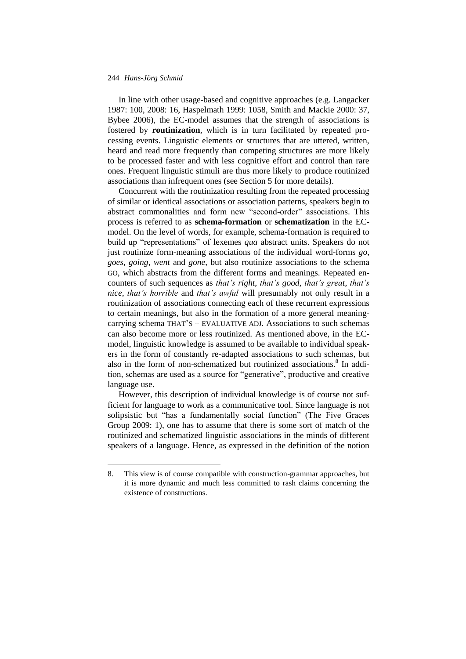$\overline{a}$ 

In line with other usage-based and cognitive approaches (e.g. Langacker 1987: 100, 2008: 16, Haspelmath 1999: 1058, Smith and Mackie 2000: 37, Bybee 2006), the EC-model assumes that the strength of associations is fostered by **routinization**, which is in turn facilitated by repeated processing events. Linguistic elements or structures that are uttered, written, heard and read more frequently than competing structures are more likely to be processed faster and with less cognitive effort and control than rare ones. Frequent linguistic stimuli are thus more likely to produce routinized associations than infrequent ones (see Section 5 for more details).

Concurrent with the routinization resulting from the repeated processing of similar or identical associations or association patterns, speakers begin to abstract commonalities and form new "second-order" associations. This process is referred to as **schema-formation** or **schematization** in the ECmodel. On the level of words, for example, schema-formation is required to build up "representations" of lexemes *qua* abstract units. Speakers do not just routinize form-meaning associations of the individual word-forms *go*, *goes*, *going*, *went* and *gone*, but also routinize associations to the schema GO, which abstracts from the different forms and meanings. Repeated encounters of such sequences as *that's right*, *that's good*, *that's great*, *that's nice*, *that's horrible* and *that's awful* will presumably not only result in a routinization of associations connecting each of these recurrent expressions to certain meanings, but also in the formation of a more general meaningcarrying schema THAT'S + EVALUATIVE ADJ. Associations to such schemas can also become more or less routinized. As mentioned above, in the ECmodel, linguistic knowledge is assumed to be available to individual speakers in the form of constantly re-adapted associations to such schemas, but also in the form of non-schematized but routinized associations. 8 In addition, schemas are used as a source for "generative", productive and creative language use.

However, this description of individual knowledge is of course not sufficient for language to work as a communicative tool. Since language is not solipsistic but "has a fundamentally social function" (The Five Graces Group 2009: 1), one has to assume that there is some sort of match of the routinized and schematized linguistic associations in the minds of different speakers of a language. Hence, as expressed in the definition of the notion

<sup>8.</sup> This view is of course compatible with construction-grammar approaches, but it is more dynamic and much less committed to rash claims concerning the existence of constructions.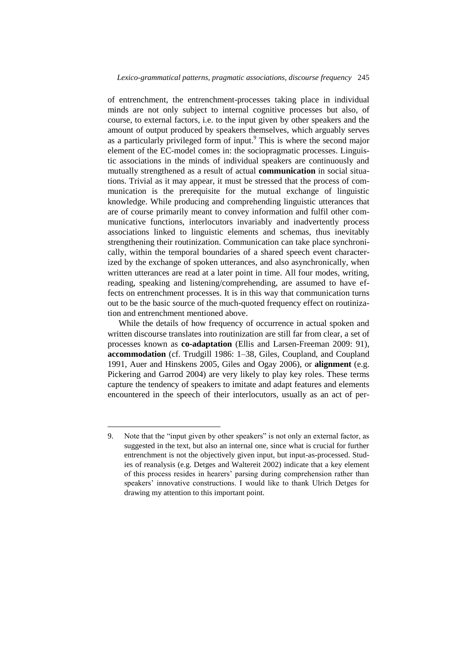of entrenchment, the entrenchment-processes taking place in individual minds are not only subject to internal cognitive processes but also, of course, to external factors, i.e. to the input given by other speakers and the amount of output produced by speakers themselves, which arguably serves as a particularly privileged form of input. <sup>9</sup> This is where the second major element of the EC-model comes in: the sociopragmatic processes. Linguistic associations in the minds of individual speakers are continuously and mutually strengthened as a result of actual **communication** in social situations. Trivial as it may appear, it must be stressed that the process of communication is the prerequisite for the mutual exchange of linguistic knowledge. While producing and comprehending linguistic utterances that are of course primarily meant to convey information and fulfil other communicative functions, interlocutors invariably and inadvertently process associations linked to linguistic elements and schemas, thus inevitably strengthening their routinization. Communication can take place synchronically, within the temporal boundaries of a shared speech event characterized by the exchange of spoken utterances, and also asynchronically, when written utterances are read at a later point in time. All four modes, writing, reading, speaking and listening/comprehending, are assumed to have effects on entrenchment processes. It is in this way that communication turns out to be the basic source of the much-quoted frequency effect on routinization and entrenchment mentioned above.

While the details of how frequency of occurrence in actual spoken and written discourse translates into routinization are still far from clear, a set of processes known as **co-adaptation** (Ellis and Larsen-Freeman 2009: 91), **accommodation** (cf. Trudgill 1986: 1–38, Giles, Coupland, and Coupland 1991, Auer and Hinskens 2005, Giles and Ogay 2006), or **alignment** (e.g. Pickering and Garrod 2004) are very likely to play key roles. These terms capture the tendency of speakers to imitate and adapt features and elements encountered in the speech of their interlocutors, usually as an act of per-

 $\overline{a}$ 

<sup>9.</sup> Note that the "input given by other speakers" is not only an external factor, as suggested in the text, but also an internal one, since what is crucial for further entrenchment is not the objectively given input, but input-as-processed. Studies of reanalysis (e.g. Detges and Waltereit 2002) indicate that a key element of this process resides in hearers' parsing during comprehension rather than speakers' innovative constructions. I would like to thank Ulrich Detges for drawing my attention to this important point.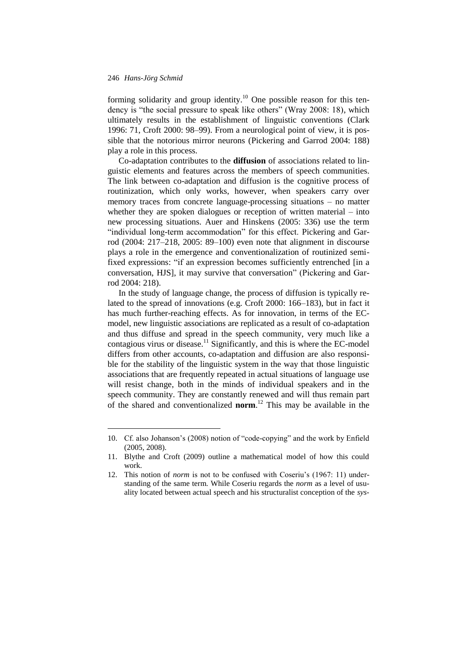$\overline{a}$ 

forming solidarity and group identity.<sup>10</sup> One possible reason for this tendency is "the social pressure to speak like others" (Wray 2008: 18), which ultimately results in the establishment of linguistic conventions (Clark 1996: 71, Croft 2000: 98–99). From a neurological point of view, it is possible that the notorious mirror neurons (Pickering and Garrod 2004: 188) play a role in this process.

Co-adaptation contributes to the **diffusion** of associations related to linguistic elements and features across the members of speech communities. The link between co-adaptation and diffusion is the cognitive process of routinization, which only works, however, when speakers carry over memory traces from concrete language-processing situations – no matter whether they are spoken dialogues or reception of written material – into new processing situations. Auer and Hinskens (2005: 336) use the term "individual long-term accommodation" for this effect. Pickering and Garrod (2004: 217–218, 2005: 89–100) even note that alignment in discourse plays a role in the emergence and conventionalization of routinized semifixed expressions: "if an expression becomes sufficiently entrenched [in a conversation, HJS], it may survive that conversation" (Pickering and Garrod 2004: 218).

In the study of language change, the process of diffusion is typically related to the spread of innovations (e.g. Croft 2000: 166–183), but in fact it has much further-reaching effects. As for innovation, in terms of the ECmodel, new linguistic associations are replicated as a result of co-adaptation and thus diffuse and spread in the speech community, very much like a contagious virus or disease.<sup>11</sup> Significantly, and this is where the EC-model differs from other accounts, co-adaptation and diffusion are also responsible for the stability of the linguistic system in the way that those linguistic associations that are frequently repeated in actual situations of language use will resist change, both in the minds of individual speakers and in the speech community. They are constantly renewed and will thus remain part of the shared and conventionalized **norm**. <sup>12</sup> This may be available in the

<sup>10.</sup> Cf. also Johanson's (2008) notion of "code-copying" and the work by Enfield (2005, 2008).

<sup>11.</sup> Blythe and Croft (2009) outline a mathematical model of how this could work.

<sup>12.</sup> This notion of *norm* is not to be confused with Coseriu's (1967: 11) understanding of the same term. While Coseriu regards the *norm* as a level of usuality located between actual speech and his structuralist conception of the *sys-*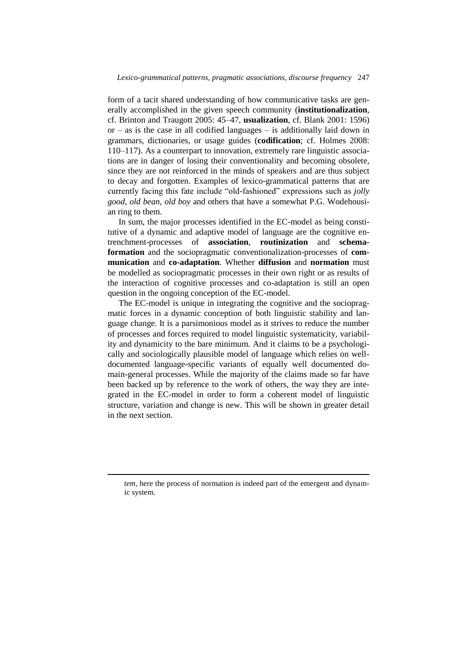form of a tacit shared understanding of how communicative tasks are generally accomplished in the given speech community (**institutionalization**, cf. Brinton and Traugott 2005: 45–47, **usualization**, cf. Blank 2001: 1596)  $or - as$  is the case in all codified languages – is additionally laid down in grammars, dictionaries, or usage guides (**codification**; cf. Holmes 2008: 110–117). As a counterpart to innovation, extremely rare linguistic associations are in danger of losing their conventionality and becoming obsolete, since they are not reinforced in the minds of speakers and are thus subject to decay and forgotten. Examples of lexico-grammatical patterns that are currently facing this fate include "old-fashioned" expressions such as *jolly good*, *old bean*, *old boy* and others that have a somewhat P.G. Wodehousian ring to them.

In sum, the major processes identified in the EC-model as being constitutive of a dynamic and adaptive model of language are the cognitive entrenchment-processes of **association**, **routinization** and **schemaformation** and the sociopragmatic conventionalization-processes of **communication** and **co-adaptation**. Whether **diffusion** and **normation** must be modelled as sociopragmatic processes in their own right or as results of the interaction of cognitive processes and co-adaptation is still an open question in the ongoing conception of the EC-model.

The EC-model is unique in integrating the cognitive and the sociopragmatic forces in a dynamic conception of both linguistic stability and language change. It is a parsimonious model as it strives to reduce the number of processes and forces required to model linguistic systematicity, variability and dynamicity to the bare minimum. And it claims to be a psychologically and sociologically plausible model of language which relies on welldocumented language-specific variants of equally well documented domain-general processes. While the majority of the claims made so far have been backed up by reference to the work of others, the way they are integrated in the EC-model in order to form a coherent model of linguistic structure, variation and change is new. This will be shown in greater detail in the next section.

<u>.</u>

*tem*, here the process of normation is indeed part of the emergent and dynamic system.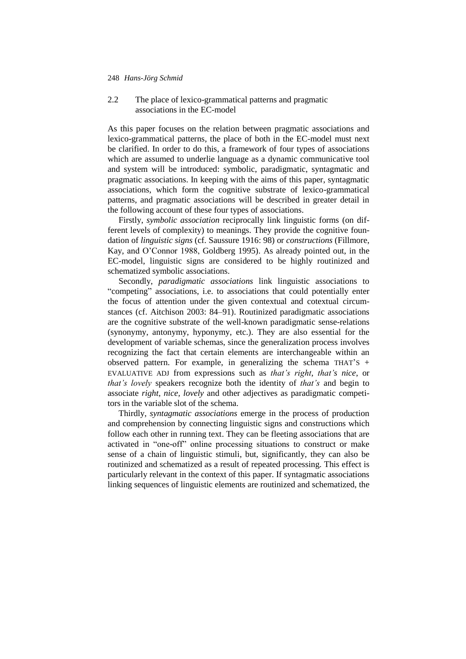## 2.2 The place of lexico-grammatical patterns and pragmatic associations in the EC-model

As this paper focuses on the relation between pragmatic associations and lexico-grammatical patterns, the place of both in the EC-model must next be clarified. In order to do this, a framework of four types of associations which are assumed to underlie language as a dynamic communicative tool and system will be introduced: symbolic, paradigmatic, syntagmatic and pragmatic associations. In keeping with the aims of this paper, syntagmatic associations, which form the cognitive substrate of lexico-grammatical patterns, and pragmatic associations will be described in greater detail in the following account of these four types of associations.

Firstly, *symbolic association* reciprocally link linguistic forms (on different levels of complexity) to meanings. They provide the cognitive foundation of *linguistic signs* (cf. Saussure 1916: 98) or *constructions* (Fillmore, Kay, and O'Connor 1988, Goldberg 1995). As already pointed out, in the EC-model, linguistic signs are considered to be highly routinized and schematized symbolic associations.

Secondly, *paradigmatic associations* link linguistic associations to "competing" associations, i.e. to associations that could potentially enter the focus of attention under the given contextual and cotextual circumstances (cf. Aitchison 2003: 84–91). Routinized paradigmatic associations are the cognitive substrate of the well-known paradigmatic sense-relations (synonymy, antonymy, hyponymy, etc.). They are also essential for the development of variable schemas, since the generalization process involves recognizing the fact that certain elements are interchangeable within an observed pattern. For example, in generalizing the schema THAT'S  $+$ EVALUATIVE ADJ from expressions such as *that's right*, *that's nice*, or *that's lovely* speakers recognize both the identity of *that's* and begin to associate *right*, *nice, lovely* and other adjectives as paradigmatic competitors in the variable slot of the schema.

Thirdly, *syntagmatic associations* emerge in the process of production and comprehension by connecting linguistic signs and constructions which follow each other in running text. They can be fleeting associations that are activated in "one-off" online processing situations to construct or make sense of a chain of linguistic stimuli, but, significantly, they can also be routinized and schematized as a result of repeated processing. This effect is particularly relevant in the context of this paper. If syntagmatic associations linking sequences of linguistic elements are routinized and schematized, the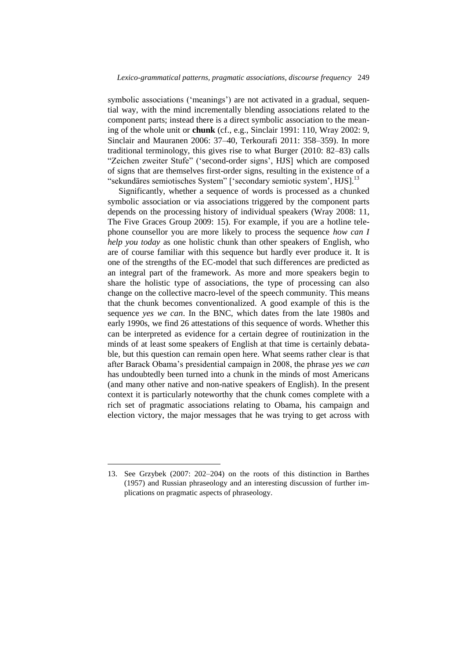symbolic associations ('meanings') are not activated in a gradual, sequential way, with the mind incrementally blending associations related to the component parts; instead there is a direct symbolic association to the meaning of the whole unit or **chunk** (cf., e.g., Sinclair 1991: 110, Wray 2002: 9, Sinclair and Mauranen 2006: 37–40, Terkourafi 2011: 358–359). In more traditional terminology, this gives rise to what Burger (2010: 82–83) calls "Zeichen zweiter Stufe" ('second-order signs', HJS] which are composed of signs that are themselves first-order signs, resulting in the existence of a "sekundäres semiotisches System" ['secondary semiotic system', HJS].<sup>13</sup>

Significantly, whether a sequence of words is processed as a chunked symbolic association or via associations triggered by the component parts depends on the processing history of individual speakers (Wray 2008: 11, The Five Graces Group 2009: 15). For example, if you are a hotline telephone counsellor you are more likely to process the sequence *how can I help you today* as one holistic chunk than other speakers of English, who are of course familiar with this sequence but hardly ever produce it. It is one of the strengths of the EC-model that such differences are predicted as an integral part of the framework. As more and more speakers begin to share the holistic type of associations, the type of processing can also change on the collective macro-level of the speech community. This means that the chunk becomes conventionalized. A good example of this is the sequence *yes we can*. In the BNC, which dates from the late 1980s and early 1990s, we find 26 attestations of this sequence of words. Whether this can be interpreted as evidence for a certain degree of routinization in the minds of at least some speakers of English at that time is certainly debatable, but this question can remain open here. What seems rather clear is that after Barack Obama's presidential campaign in 2008, the phrase *yes we can* has undoubtedly been turned into a chunk in the minds of most Americans (and many other native and non-native speakers of English). In the present context it is particularly noteworthy that the chunk comes complete with a rich set of pragmatic associations relating to Obama, his campaign and election victory, the major messages that he was trying to get across with

 $\overline{a}$ 

<sup>13.</sup> See Grzybek (2007: 202–204) on the roots of this distinction in Barthes (1957) and Russian phraseology and an interesting discussion of further implications on pragmatic aspects of phraseology.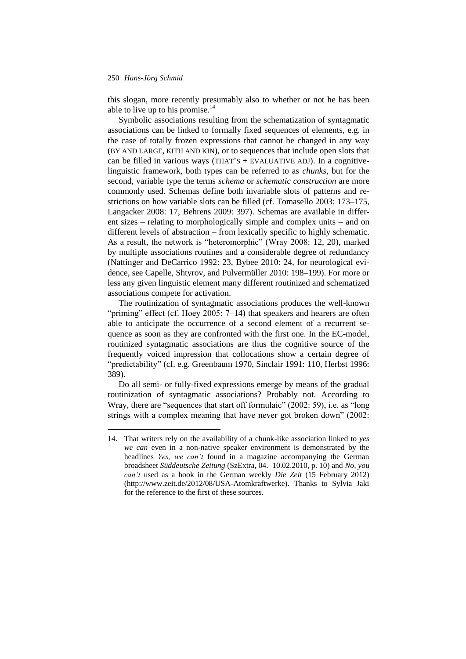$\overline{a}$ 

this slogan, more recently presumably also to whether or not he has been able to live up to his promise.<sup>14</sup>

Symbolic associations resulting from the schematization of syntagmatic associations can be linked to formally fixed sequences of elements, e.g. in the case of totally frozen expressions that cannot be changed in any way (BY AND LARGE, KITH AND KIN), or to sequences that include open slots that can be filled in various ways (THAT'S  $+$  EVALUATIVE ADJ). In a cognitivelinguistic framework, both types can be referred to as *chunks*, but for the second, variable type the terms *schema* or *schematic construction* are more commonly used. Schemas define both invariable slots of patterns and restrictions on how variable slots can be filled (cf. Tomasello 2003: 173–175, Langacker 2008: 17, Behrens 2009: 397). Schemas are available in different sizes – relating to morphologically simple and complex units – and on different levels of abstraction – from lexically specific to highly schematic. As a result, the network is "heteromorphic" (Wray 2008: 12, 20), marked by multiple associations routines and a considerable degree of redundancy (Nattinger and DeCarrico 1992: 23, Bybee 2010: 24, for neurological evidence, see Capelle, Shtyrov, and Pulvermüller 2010: 198–199). For more or less any given linguistic element many different routinized and schematized associations compete for activation.

The routinization of syntagmatic associations produces the well-known "priming" effect (cf. Hoey 2005: 7-14) that speakers and hearers are often able to anticipate the occurrence of a second element of a recurrent sequence as soon as they are confronted with the first one. In the EC-model, routinized syntagmatic associations are thus the cognitive source of the frequently voiced impression that collocations show a certain degree of "predictability" (cf. e.g. Greenbaum 1970, Sinclair 1991: 110, Herbst 1996: 389).

Do all semi- or fully-fixed expressions emerge by means of the gradual routinization of syntagmatic associations? Probably not. According to Wray, there are "sequences that start off formulaic" (2002: 59), i.e. as "long strings with a complex meaning that have never got broken down" (2002:

<sup>14.</sup> That writers rely on the availability of a chunk-like association linked to *yes we can* even in a non-native speaker environment is demonstrated by the headlines *Yes, we can't* found in a magazine accompanying the German broadsheet *Süddeutsche Zeitung* (SzExtra, 04.–10.02.2010, p. 10) and *No, you can't* used as a hook in the German weekly *Die Zeit* (15 February 2012) (http://www.zeit.de/2012/08/USA-Atomkraftwerke). Thanks to Sylvia Jaki for the reference to the first of these sources.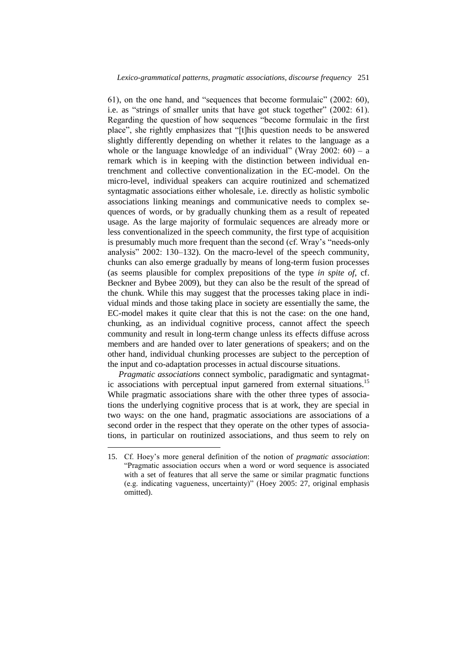61), on the one hand, and "sequences that become formulaic" (2002: 60), i.e. as "strings of smaller units that have got stuck together" (2002: 61). Regarding the question of how sequences "become formulaic in the first place", she rightly emphasizes that "[t]his question needs to be answered slightly differently depending on whether it relates to the language as a whole or the language knowledge of an individual" (Wray 2002:  $60$ ) – a remark which is in keeping with the distinction between individual entrenchment and collective conventionalization in the EC-model. On the micro-level, individual speakers can acquire routinized and schematized syntagmatic associations either wholesale, i.e. directly as holistic symbolic associations linking meanings and communicative needs to complex sequences of words, or by gradually chunking them as a result of repeated usage. As the large majority of formulaic sequences are already more or less conventionalized in the speech community, the first type of acquisition is presumably much more frequent than the second (cf. Wray's "needs-only analysis" 2002: 130–132). On the macro-level of the speech community, chunks can also emerge gradually by means of long-term fusion processes (as seems plausible for complex prepositions of the type *in spite of*, cf. Beckner and Bybee 2009), but they can also be the result of the spread of the chunk. While this may suggest that the processes taking place in individual minds and those taking place in society are essentially the same, the EC-model makes it quite clear that this is not the case: on the one hand, chunking, as an individual cognitive process, cannot affect the speech community and result in long-term change unless its effects diffuse across members and are handed over to later generations of speakers; and on the other hand, individual chunking processes are subject to the perception of the input and co-adaptation processes in actual discourse situations.

*Pragmatic associations* connect symbolic, paradigmatic and syntagmatic associations with perceptual input garnered from external situations.<sup>15</sup> While pragmatic associations share with the other three types of associations the underlying cognitive process that is at work, they are special in two ways: on the one hand, pragmatic associations are associations of a second order in the respect that they operate on the other types of associations, in particular on routinized associations, and thus seem to rely on

 $\overline{a}$ 

<sup>15.</sup> Cf. Hoey's more general definition of the notion of *pragmatic association*: "Pragmatic association occurs when a word or word sequence is associated with a set of features that all serve the same or similar pragmatic functions (e.g. indicating vagueness, uncertainty)" (Hoey 2005: 27, original emphasis omitted).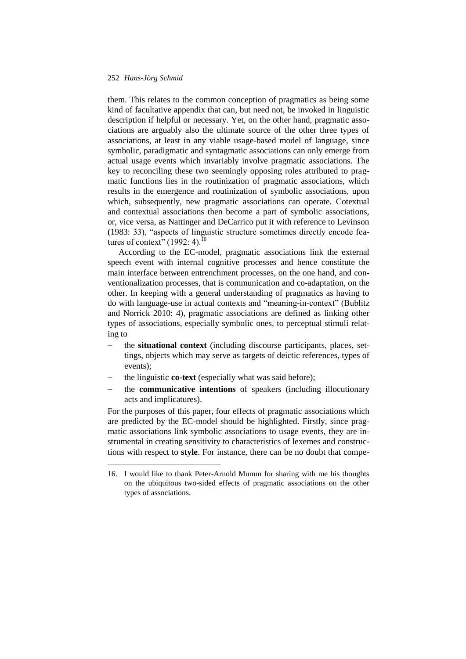$\overline{a}$ 

them. This relates to the common conception of pragmatics as being some kind of facultative appendix that can, but need not, be invoked in linguistic description if helpful or necessary. Yet, on the other hand, pragmatic associations are arguably also the ultimate source of the other three types of associations, at least in any viable usage-based model of language, since symbolic, paradigmatic and syntagmatic associations can only emerge from actual usage events which invariably involve pragmatic associations. The key to reconciling these two seemingly opposing roles attributed to pragmatic functions lies in the routinization of pragmatic associations, which results in the emergence and routinization of symbolic associations, upon which, subsequently, new pragmatic associations can operate. Cotextual and contextual associations then become a part of symbolic associations, or, vice versa, as Nattinger and DeCarrico put it with reference to Levinson (1983: 33), "aspects of linguistic structure sometimes directly encode features of context"  $(1992: 4)$ .<sup>16</sup>

According to the EC-model, pragmatic associations link the external speech event with internal cognitive processes and hence constitute the main interface between entrenchment processes, on the one hand, and conventionalization processes, that is communication and co-adaptation, on the other. In keeping with a general understanding of pragmatics as having to do with language-use in actual contexts and "meaning-in-context" (Bublitz and Norrick 2010: 4), pragmatic associations are defined as linking other types of associations, especially symbolic ones, to perceptual stimuli relating to

- the **situational context** (including discourse participants, places, settings, objects which may serve as targets of deictic references, types of events);
- the linguistic **co-text** (especially what was said before);
- the **communicative intentions** of speakers (including illocutionary acts and implicatures).

For the purposes of this paper, four effects of pragmatic associations which are predicted by the EC-model should be highlighted. Firstly, since pragmatic associations link symbolic associations to usage events, they are instrumental in creating sensitivity to characteristics of lexemes and constructions with respect to **style**. For instance, there can be no doubt that compe-

<sup>16.</sup> I would like to thank Peter-Arnold Mumm for sharing with me his thoughts on the ubiquitous two-sided effects of pragmatic associations on the other types of associations.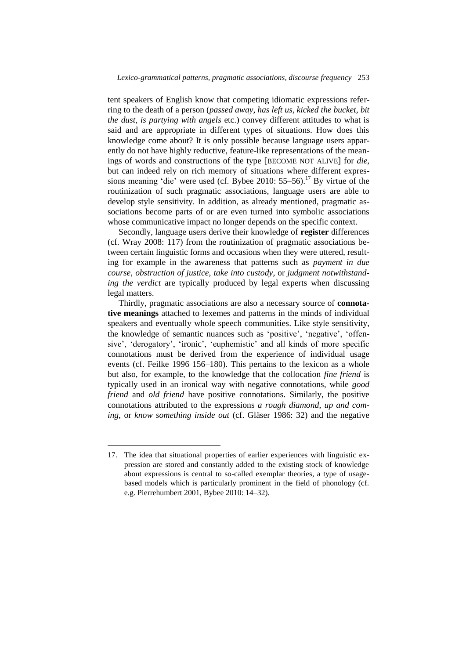tent speakers of English know that competing idiomatic expressions referring to the death of a person (*passed away*, *has left us*, *kicked the bucket*, *bit the dust*, *is partying with angels* etc.) convey different attitudes to what is said and are appropriate in different types of situations. How does this knowledge come about? It is only possible because language users apparently do not have highly reductive, feature-like representations of the meanings of words and constructions of the type [BECOME NOT ALIVE] for *die*, but can indeed rely on rich memory of situations where different expressions meaning 'die' were used (cf. Bybee 2010:  $55-56$ ).<sup>17</sup> By virtue of the routinization of such pragmatic associations, language users are able to develop style sensitivity. In addition, as already mentioned, pragmatic associations become parts of or are even turned into symbolic associations whose communicative impact no longer depends on the specific context.

Secondly, language users derive their knowledge of **register** differences (cf. Wray 2008: 117) from the routinization of pragmatic associations between certain linguistic forms and occasions when they were uttered, resulting for example in the awareness that patterns such as *payment in due course*, *obstruction of justice*, *take into custody*, or *judgment notwithstanding the verdict* are typically produced by legal experts when discussing legal matters.

Thirdly, pragmatic associations are also a necessary source of **connotative meanings** attached to lexemes and patterns in the minds of individual speakers and eventually whole speech communities. Like style sensitivity, the knowledge of semantic nuances such as 'positive', 'negative', 'offensive', 'derogatory', 'ironic', 'euphemistic' and all kinds of more specific connotations must be derived from the experience of individual usage events (cf. Feilke 1996 156–180). This pertains to the lexicon as a whole but also, for example, to the knowledge that the collocation *fine friend* is typically used in an ironical way with negative connotations, while *good friend* and *old friend* have positive connotations. Similarly, the positive connotations attributed to the expressions *a rough diamond*, *up and coming*, or *know something inside out* (cf. Gläser 1986: 32) and the negative

 $\overline{a}$ 

<sup>17.</sup> The idea that situational properties of earlier experiences with linguistic expression are stored and constantly added to the existing stock of knowledge about expressions is central to so-called exemplar theories, a type of usagebased models which is particularly prominent in the field of phonology (cf. e.g. Pierrehumbert 2001, Bybee 2010: 14–32).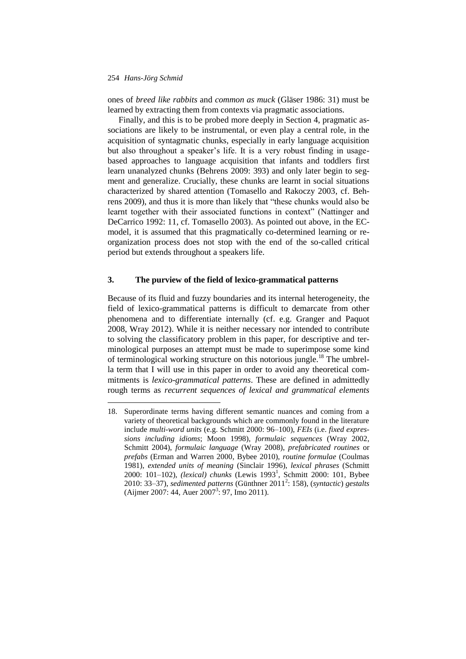$\overline{a}$ 

ones of *breed like rabbits* and *common as muck* (Gläser 1986: 31) must be learned by extracting them from contexts via pragmatic associations.

Finally, and this is to be probed more deeply in Section 4, pragmatic associations are likely to be instrumental, or even play a central role, in the acquisition of syntagmatic chunks, especially in early language acquisition but also throughout a speaker's life. It is a very robust finding in usagebased approaches to language acquisition that infants and toddlers first learn unanalyzed chunks (Behrens 2009: 393) and only later begin to segment and generalize. Crucially, these chunks are learnt in social situations characterized by shared attention (Tomasello and Rakoczy 2003, cf. Behrens 2009), and thus it is more than likely that "these chunks would also be learnt together with their associated functions in context" (Nattinger and DeCarrico 1992: 11, cf. Tomasello 2003). As pointed out above, in the ECmodel, it is assumed that this pragmatically co-determined learning or reorganization process does not stop with the end of the so-called critical period but extends throughout a speakers life.

## **3. The purview of the field of lexico-grammatical patterns**

Because of its fluid and fuzzy boundaries and its internal heterogeneity, the field of lexico-grammatical patterns is difficult to demarcate from other phenomena and to differentiate internally (cf. e.g. Granger and Paquot 2008, Wray 2012). While it is neither necessary nor intended to contribute to solving the classificatory problem in this paper, for descriptive and terminological purposes an attempt must be made to superimpose some kind of terminological working structure on this notorious jungle.<sup>18</sup> The umbrella term that I will use in this paper in order to avoid any theoretical commitments is *lexico-grammatical patterns*. These are defined in admittedly rough terms as *recurrent sequences of lexical and grammatical elements* 

<sup>18.</sup> Superordinate terms having different semantic nuances and coming from a variety of theoretical backgrounds which are commonly found in the literature include *multi-word units* (e.g. Schmitt 2000: 96–100), *FEIs* (i.e. *fixed expressions including idioms*; Moon 1998), *formulaic sequences* (Wray 2002, Schmitt 2004), *formulaic language* (Wray 2008), *prefabricated routines* or *prefabs* (Erman and Warren 2000, Bybee 2010), *routine formulae* (Coulmas 1981), *extended units of meaning* (Sinclair 1996), *lexical phrases* (Schmitt 2000: 101–102), *(lexical) chunks* (Lewis 1993<sup>1</sup> , Schmitt 2000: 101, Bybee 2010: 33–37), *sedimented patterns* (Günthner 2011<sup>2</sup>: 158), (*syntactic*) *gestalts* (Aijmer 2007: 44, Auer 2007<sup>3</sup>: 97, Imo 2011).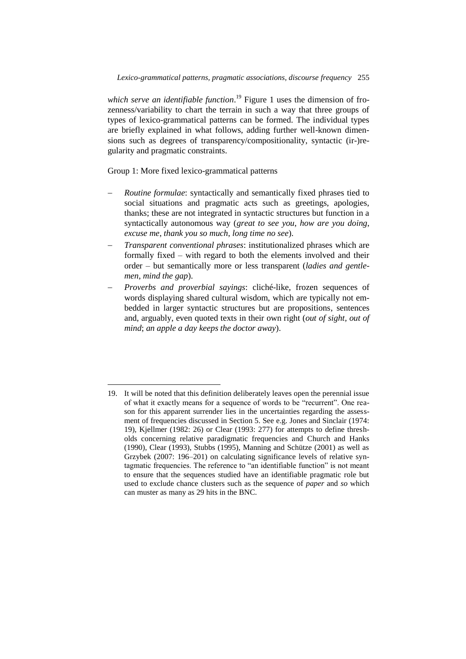*which serve an identifiable function*. <sup>19</sup> Figure 1 uses the dimension of frozenness/variability to chart the terrain in such a way that three groups of types of lexico-grammatical patterns can be formed. The individual types are briefly explained in what follows, adding further well-known dimensions such as degrees of transparency/compositionality, syntactic (ir-)regularity and pragmatic constraints.

Group 1: More fixed lexico-grammatical patterns

 $\overline{a}$ 

- *Routine formulae*: syntactically and semantically fixed phrases tied to social situations and pragmatic acts such as greetings, apologies, thanks; these are not integrated in syntactic structures but function in a syntactically autonomous way (*great to see you*, *how are you doing*, *excuse me*, *thank you so much*, *long time no see*).
- *Transparent conventional phrases*: institutionalized phrases which are formally fixed – with regard to both the elements involved and their order – but semantically more or less transparent (*ladies and gentlemen*, *mind the gap*).
- *Proverbs and proverbial sayings*: cliché-like, frozen sequences of words displaying shared cultural wisdom, which are typically not embedded in larger syntactic structures but are propositions, sentences and, arguably, even quoted texts in their own right (*out of sight, out of mind*; *an apple a day keeps the doctor away*).

<sup>19.</sup> It will be noted that this definition deliberately leaves open the perennial issue of what it exactly means for a sequence of words to be "recurrent". One reason for this apparent surrender lies in the uncertainties regarding the assessment of frequencies discussed in Section 5. See e.g. Jones and Sinclair (1974: 19), Kjellmer (1982: 26) or Clear (1993: 277) for attempts to define thresholds concerning relative paradigmatic frequencies and Church and Hanks (1990), Clear (1993), Stubbs (1995), Manning and Schütze (2001) as well as Grzybek (2007: 196–201) on calculating significance levels of relative syntagmatic frequencies. The reference to "an identifiable function" is not meant to ensure that the sequences studied have an identifiable pragmatic role but used to exclude chance clusters such as the sequence of *paper* and *so* which can muster as many as 29 hits in the BNC.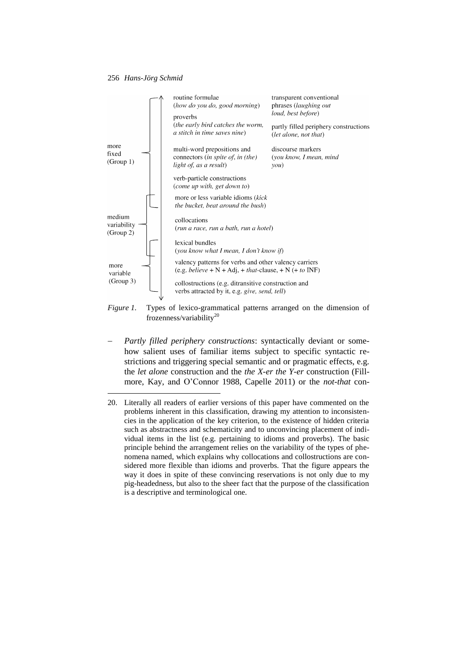$\overline{a}$ 



*Figure 1.* Types of lexico-grammatical patterns arranged on the dimension of frozenness/variability<sup>20</sup>

- *Partly filled periphery constructions*: syntactically deviant or somehow salient uses of familiar items subject to specific syntactic restrictions and triggering special semantic and or pragmatic effects, e.g. the *let alone* construction and the *the X-er the Y-er* construction (Fillmore, Kay, and O'Connor 1988, Capelle 2011) or the *not-that* con-
- 20. Literally all readers of earlier versions of this paper have commented on the problems inherent in this classification, drawing my attention to inconsistencies in the application of the key criterion, to the existence of hidden criteria such as abstractness and schematicity and to unconvincing placement of individual items in the list (e.g. pertaining to idioms and proverbs). The basic principle behind the arrangement relies on the variability of the types of phenomena named, which explains why collocations and collostructions are considered more flexible than idioms and proverbs. That the figure appears the way it does in spite of these convincing reservations is not only due to my pig-headedness, but also to the sheer fact that the purpose of the classification is a descriptive and terminological one.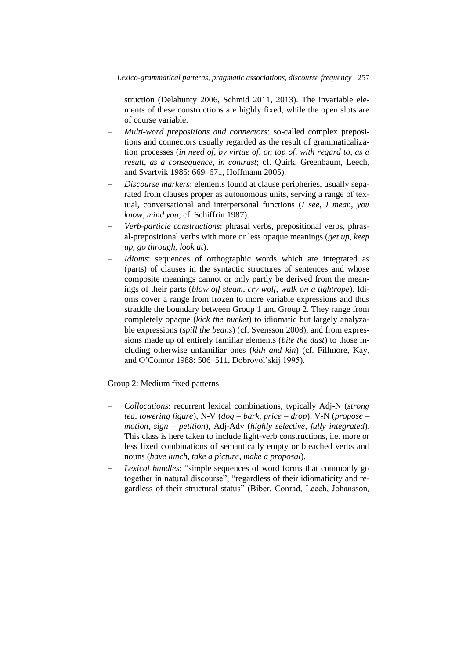struction (Delahunty 2006, Schmid 2011, 2013). The invariable elements of these constructions are highly fixed, while the open slots are of course variable.

- *Multi-word prepositions and connectors*: so-called complex prepositions and connectors usually regarded as the result of grammaticalization processes (*in need of*, *by virtue of, on top of*, *with regard to, as a result*, *as a consequence*, *in contrast*; cf. Quirk, Greenbaum, Leech, and Svartvik 1985: 669–671, Hoffmann 2005).
- *Discourse markers*: elements found at clause peripheries, usually separated from clauses proper as autonomous units, serving a range of textual, conversational and interpersonal functions (*I see*, *I mean*, *you know*, *mind you*; cf. Schiffrin 1987).
- *Verb-particle constructions*: phrasal verbs, prepositional verbs, phrasal-prepositional verbs with more or less opaque meanings (*get up*, *keep up*, *go through*, *look at*).
- *Idioms*: sequences of orthographic words which are integrated as (parts) of clauses in the syntactic structures of sentences and whose composite meanings cannot or only partly be derived from the meanings of their parts (*blow off steam*, *cry wolf*, *walk on a tightrope*). Idioms cover a range from frozen to more variable expressions and thus straddle the boundary between Group 1 and Group 2. They range from completely opaque (*kick the bucket*) to idiomatic but largely analyzable expressions (*spill the beans*) (cf. Svensson 2008), and from expressions made up of entirely familiar elements (*bite the dust*) to those including otherwise unfamiliar ones (*kith and kin*) (cf. Fillmore, Kay, and O'Connor 1988: 506–511, Dobrovol'skij 1995).

## Group 2: Medium fixed patterns

- *Collocations*: recurrent lexical combinations, typically Adj-N (*strong tea*, *towering figure*), N-V (*dog – bark*, *price – drop*), V-N (*propose – motion*, *sign – petition*), Adj-Adv (*highly selective*, *fully integrated*). This class is here taken to include light-verb constructions, i.e. more or less fixed combinations of semantically empty or bleached verbs and nouns (*have lunch*, *take a picture*, *make a proposal*).
- *Lexical bundles*: "simple sequences of word forms that commonly go together in natural discourse", "regardless of their idiomaticity and regardless of their structural status" (Biber, Conrad, Leech, Johansson,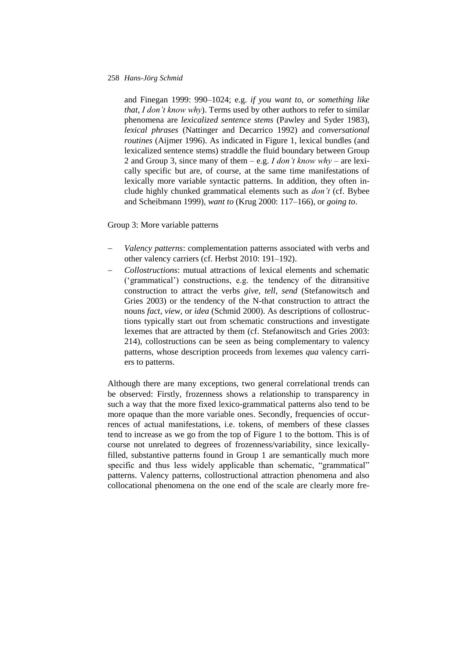and Finegan 1999: 990–1024; e.g. *if you want to*, *or something like that*, *I don't know why*). Terms used by other authors to refer to similar phenomena are *lexicalized sentence stems* (Pawley and Syder 1983), *lexical phrases* (Nattinger and Decarrico 1992) and *conversational routines* (Aijmer 1996). As indicated in Figure 1, lexical bundles (and lexicalized sentence stems) straddle the fluid boundary between Group 2 and Group 3, since many of them – e.g. *I don't know why –* are lexically specific but are, of course, at the same time manifestations of lexically more variable syntactic patterns. In addition, they often include highly chunked grammatical elements such as *don't* (cf. Bybee and Scheibmann 1999), *want to* (Krug 2000: 117–166), or *going to*.

Group 3: More variable patterns

- *Valency patterns*: complementation patterns associated with verbs and other valency carriers (cf. Herbst 2010: 191–192).
- *Collostructions*: mutual attractions of lexical elements and schematic ('grammatical') constructions, e.g. the tendency of the ditransitive construction to attract the verbs *give*, *tell*, *send* (Stefanowitsch and Gries 2003) or the tendency of the N-that construction to attract the nouns *fact*, *view*, or *idea* (Schmid 2000). As descriptions of collostructions typically start out from schematic constructions and investigate lexemes that are attracted by them (cf. Stefanowitsch and Gries 2003: 214), collostructions can be seen as being complementary to valency patterns, whose description proceeds from lexemes *qua* valency carriers to patterns.

Although there are many exceptions, two general correlational trends can be observed: Firstly, frozenness shows a relationship to transparency in such a way that the more fixed lexico-grammatical patterns also tend to be more opaque than the more variable ones. Secondly, frequencies of occurrences of actual manifestations, i.e. tokens, of members of these classes tend to increase as we go from the top of Figure 1 to the bottom. This is of course not unrelated to degrees of frozenness/variability, since lexicallyfilled, substantive patterns found in Group 1 are semantically much more specific and thus less widely applicable than schematic, "grammatical" patterns. Valency patterns, collostructional attraction phenomena and also collocational phenomena on the one end of the scale are clearly more fre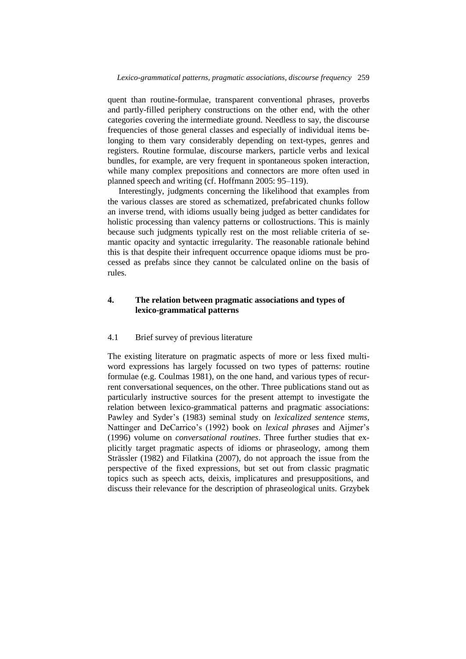quent than routine-formulae, transparent conventional phrases, proverbs and partly-filled periphery constructions on the other end, with the other categories covering the intermediate ground. Needless to say, the discourse frequencies of those general classes and especially of individual items belonging to them vary considerably depending on text-types, genres and registers. Routine formulae, discourse markers, particle verbs and lexical bundles, for example, are very frequent in spontaneous spoken interaction, while many complex prepositions and connectors are more often used in planned speech and writing (cf. Hoffmann 2005: 95–119).

Interestingly, judgments concerning the likelihood that examples from the various classes are stored as schematized, prefabricated chunks follow an inverse trend, with idioms usually being judged as better candidates for holistic processing than valency patterns or collostructions. This is mainly because such judgments typically rest on the most reliable criteria of semantic opacity and syntactic irregularity. The reasonable rationale behind this is that despite their infrequent occurrence opaque idioms must be processed as prefabs since they cannot be calculated online on the basis of rules.

## **4. The relation between pragmatic associations and types of lexico-grammatical patterns**

## 4.1 Brief survey of previous literature

The existing literature on pragmatic aspects of more or less fixed multiword expressions has largely focussed on two types of patterns: routine formulae (e.g. Coulmas 1981), on the one hand, and various types of recurrent conversational sequences, on the other. Three publications stand out as particularly instructive sources for the present attempt to investigate the relation between lexico-grammatical patterns and pragmatic associations: Pawley and Syder's (1983) seminal study on *lexicalized sentence stems*, Nattinger and DeCarrico's (1992) book on *lexical phrases* and Aijmer's (1996) volume on *conversational routines*. Three further studies that explicitly target pragmatic aspects of idioms or phraseology, among them Strässler (1982) and Filatkina (2007), do not approach the issue from the perspective of the fixed expressions, but set out from classic pragmatic topics such as speech acts, deixis, implicatures and presuppositions, and discuss their relevance for the description of phraseological units. Grzybek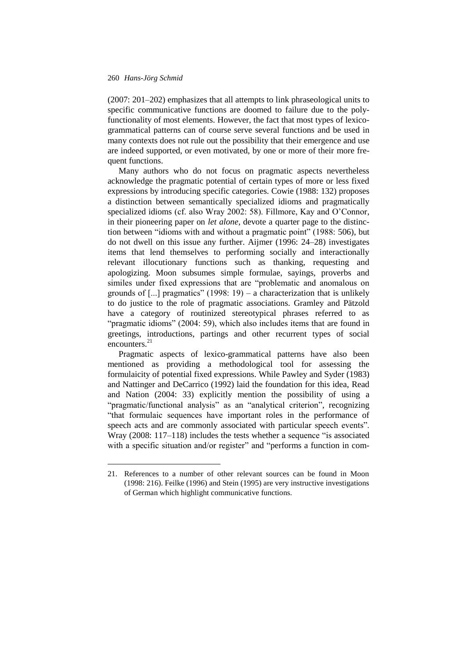$\overline{a}$ 

(2007: 201–202) emphasizes that all attempts to link phraseological units to specific communicative functions are doomed to failure due to the polyfunctionality of most elements. However, the fact that most types of lexicogrammatical patterns can of course serve several functions and be used in many contexts does not rule out the possibility that their emergence and use are indeed supported, or even motivated, by one or more of their more frequent functions.

Many authors who do not focus on pragmatic aspects nevertheless acknowledge the pragmatic potential of certain types of more or less fixed expressions by introducing specific categories. Cowie (1988: 132) proposes a distinction between semantically specialized idioms and pragmatically specialized idioms (cf. also Wray 2002: 58). Fillmore, Kay and O'Connor, in their pioneering paper on *let alone*, devote a quarter page to the distinction between "idioms with and without a pragmatic point" (1988: 506), but do not dwell on this issue any further. Aijmer (1996: 24–28) investigates items that lend themselves to performing socially and interactionally relevant illocutionary functions such as thanking, requesting and apologizing. Moon subsumes simple formulae, sayings, proverbs and similes under fixed expressions that are "problematic and anomalous on grounds of  $\left[\ldots\right]$  pragmatics" (1998: 19) – a characterization that is unlikely to do justice to the role of pragmatic associations. Gramley and Pätzold have a category of routinized stereotypical phrases referred to as "pragmatic idioms" (2004: 59), which also includes items that are found in greetings, introductions, partings and other recurrent types of social encounters.<sup>21</sup>

Pragmatic aspects of lexico-grammatical patterns have also been mentioned as providing a methodological tool for assessing the formulaicity of potential fixed expressions. While Pawley and Syder (1983) and Nattinger and DeCarrico (1992) laid the foundation for this idea, Read and Nation (2004: 33) explicitly mention the possibility of using a "pragmatic/functional analysis" as an "analytical criterion", recognizing "that formulaic sequences have important roles in the performance of speech acts and are commonly associated with particular speech events". Wray (2008: 117–118) includes the tests whether a sequence "is associated with a specific situation and/or register" and "performs a function in com-

<sup>21.</sup> References to a number of other relevant sources can be found in Moon (1998: 216). Feilke (1996) and Stein (1995) are very instructive investigations of German which highlight communicative functions.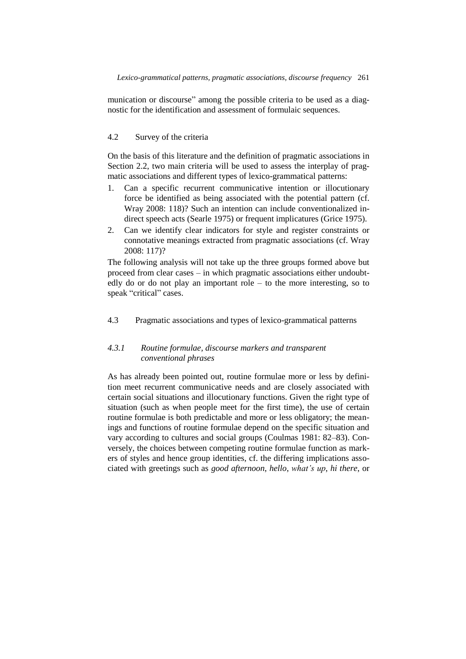munication or discourse" among the possible criteria to be used as a diagnostic for the identification and assessment of formulaic sequences.

## 4.2 Survey of the criteria

On the basis of this literature and the definition of pragmatic associations in Section 2.2, two main criteria will be used to assess the interplay of pragmatic associations and different types of lexico-grammatical patterns:

- 1. Can a specific recurrent communicative intention or illocutionary force be identified as being associated with the potential pattern (cf. Wray 2008: 118)? Such an intention can include conventionalized indirect speech acts (Searle 1975) or frequent implicatures (Grice 1975).
- 2. Can we identify clear indicators for style and register constraints or connotative meanings extracted from pragmatic associations (cf. Wray 2008: 117)?

The following analysis will not take up the three groups formed above but proceed from clear cases – in which pragmatic associations either undoubtedly do or do not play an important role – to the more interesting, so to speak "critical" cases.

4.3 Pragmatic associations and types of lexico-grammatical patterns

## *4.3.1 Routine formulae, discourse markers and transparent conventional phrases*

As has already been pointed out, routine formulae more or less by definition meet recurrent communicative needs and are closely associated with certain social situations and illocutionary functions. Given the right type of situation (such as when people meet for the first time), the use of certain routine formulae is both predictable and more or less obligatory; the meanings and functions of routine formulae depend on the specific situation and vary according to cultures and social groups (Coulmas 1981: 82–83). Conversely, the choices between competing routine formulae function as markers of styles and hence group identities, cf. the differing implications associated with greetings such as *good afternoon*, *hello*, *what's up*, *hi there*, or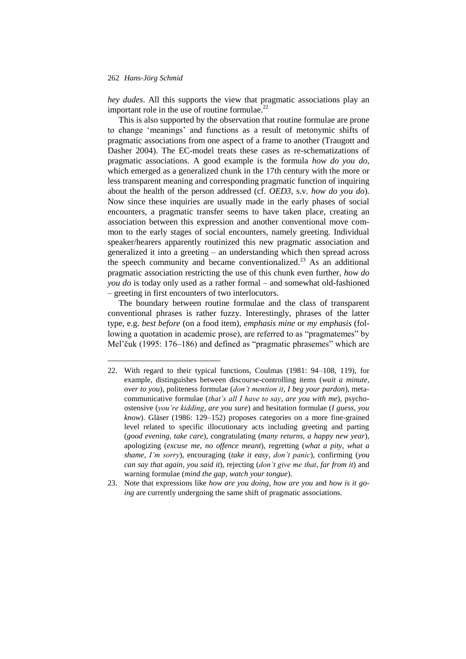$\overline{a}$ 

*hey dudes*. All this supports the view that pragmatic associations play an important role in the use of routine formulae.<sup>22</sup>

This is also supported by the observation that routine formulae are prone to change 'meanings' and functions as a result of metonymic shifts of pragmatic associations from one aspect of a frame to another (Traugott and Dasher 2004). The EC-model treats these cases as re-schematizations of pragmatic associations. A good example is the formula *how do you do*, which emerged as a generalized chunk in the 17th century with the more or less transparent meaning and corresponding pragmatic function of inquiring about the health of the person addressed (cf. *OED3*, s.v. *how do you do*). Now since these inquiries are usually made in the early phases of social encounters, a pragmatic transfer seems to have taken place, creating an association between this expression and another conventional move common to the early stages of social encounters, namely greeting. Individual speaker/hearers apparently routinized this new pragmatic association and generalized it into a greeting – an understanding which then spread across the speech community and became conventionalized.<sup>23</sup> As an additional pragmatic association restricting the use of this chunk even further, *how do you do* is today only used as a rather formal – and somewhat old-fashioned – greeting in first encounters of two interlocutors.

The boundary between routine formulae and the class of transparent conventional phrases is rather fuzzy. Interestingly, phrases of the latter type, e.g. *best before* (on a food item), *emphasis mine* or *my emphasis* (following a quotation in academic prose), are referred to as "pragmatemes" by Mel'čuk (1995: 176–186) and defined as "pragmatic phrasemes" which are

<sup>22.</sup> With regard to their typical functions, Coulmas (1981: 94–108, 119), for example, distinguishes between discourse-controlling items (*wait a minute*, *over to you*), politeness formulae (*don't mention it*, *I beg your pardon*), metacommunicative formulae (*that's all I have to say*, *are you with me*), psychoostensive (*you're kidding*, *are you sure*) and hesitation formulae (*I guess, you know*). Gläser (1986: 129–152) proposes categories on a more fine-grained level related to specific illocutionary acts including greeting and parting (*good evening*, *take care*), congratulating (*many returns*, *a happy new year*), apologizing (*excuse me*, *no offence meant*), regretting (*what a pity*, *what a shame*, *I'm sorry*), encouraging (*take it easy*, *don't panic*), confirming (*you can say that again*, *you said it*), rejecting (*don't give me that*, *far from it*) and warning formulae (*mind the gap*, *watch your tongue*).

<sup>23.</sup> Note that expressions like *how are you doing*, *how are you* and *how is it going* are currently undergoing the same shift of pragmatic associations.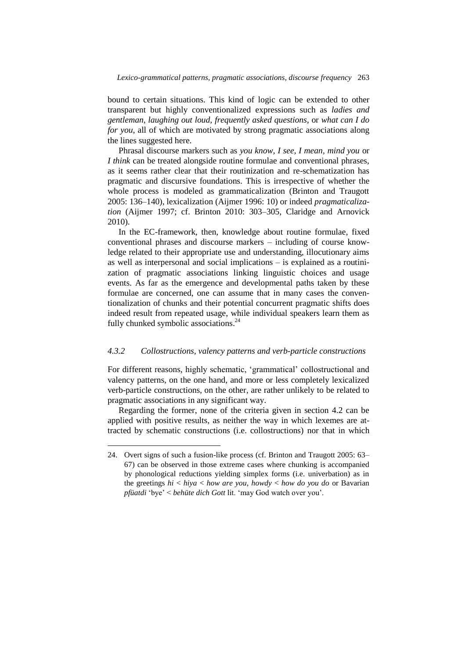bound to certain situations. This kind of logic can be extended to other transparent but highly conventionalized expressions such as *ladies and gentleman*, *laughing out loud*, *frequently asked questions*, or *what can I do for you*, all of which are motivated by strong pragmatic associations along the lines suggested here.

Phrasal discourse markers such as *you know, I see, I mean, mind you* or *I think* can be treated alongside routine formulae and conventional phrases, as it seems rather clear that their routinization and re-schematization has pragmatic and discursive foundations. This is irrespective of whether the whole process is modeled as grammaticalization (Brinton and Traugott 2005: 136–140), lexicalization (Aijmer 1996: 10) or indeed *pragmaticalization* (Aijmer 1997; cf. Brinton 2010: 303–305, Claridge and Arnovick 2010).

In the EC-framework, then, knowledge about routine formulae, fixed conventional phrases and discourse markers – including of course knowledge related to their appropriate use and understanding, illocutionary aims as well as interpersonal and social implications – is explained as a routinization of pragmatic associations linking linguistic choices and usage events. As far as the emergence and developmental paths taken by these formulae are concerned, one can assume that in many cases the conventionalization of chunks and their potential concurrent pragmatic shifts does indeed result from repeated usage, while individual speakers learn them as fully chunked symbolic associations.<sup>24</sup>

### *4.3.2 Collostructions, valency patterns and verb-particle constructions*

For different reasons, highly schematic, 'grammatical' collostructional and valency patterns, on the one hand, and more or less completely lexicalized verb-particle constructions, on the other, are rather unlikely to be related to pragmatic associations in any significant way.

Regarding the former, none of the criteria given in section 4.2 can be applied with positive results, as neither the way in which lexemes are attracted by schematic constructions (i.e. collostructions) nor that in which

 $\overline{a}$ 

<sup>24.</sup> Overt signs of such a fusion-like process (cf. Brinton and Traugott 2005: 63– 67) can be observed in those extreme cases where chunking is accompanied by phonological reductions yielding simplex forms (i.e. univerbation) as in the greetings *hi* < *hiya* < *how are you*, *howdy* < *how do you do* or Bavarian *pfüatdi* 'bye' < *behüte dich Gott* lit. 'may God watch over you'.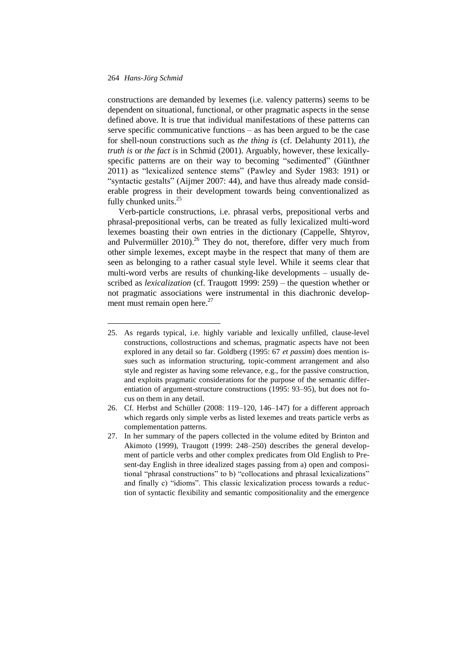$\overline{a}$ 

constructions are demanded by lexemes (i.e. valency patterns) seems to be dependent on situational, functional, or other pragmatic aspects in the sense defined above. It is true that individual manifestations of these patterns can serve specific communicative functions – as has been argued to be the case for shell-noun constructions such as *the thing is* (cf. Delahunty 2011), *the truth is* or *the fact is* in Schmid (2001). Arguably, however, these lexicallyspecific patterns are on their way to becoming "sedimented" (Günthner 2011) as "lexicalized sentence stems" (Pawley and Syder 1983: 191) or "syntactic gestalts" (Aijmer 2007: 44), and have thus already made considerable progress in their development towards being conventionalized as fully chunked units.<sup>25</sup>

Verb-particle constructions, i.e. phrasal verbs, prepositional verbs and phrasal-prepositional verbs, can be treated as fully lexicalized multi-word lexemes boasting their own entries in the dictionary (Cappelle, Shtyrov, and Pulvermüller 2010).<sup>26</sup> They do not, therefore, differ very much from other simple lexemes, except maybe in the respect that many of them are seen as belonging to a rather casual style level. While it seems clear that multi-word verbs are results of chunking-like developments – usually described as *lexicalization* (cf. Traugott 1999: 259) – the question whether or not pragmatic associations were instrumental in this diachronic development must remain open here.<sup>27</sup>

<sup>25.</sup> As regards typical, i.e. highly variable and lexically unfilled, clause-level constructions, collostructions and schemas, pragmatic aspects have not been explored in any detail so far. Goldberg (1995: 67 *et passim*) does mention issues such as information structuring, topic-comment arrangement and also style and register as having some relevance, e.g., for the passive construction, and exploits pragmatic considerations for the purpose of the semantic differentiation of argument-structure constructions (1995: 93–95), but does not focus on them in any detail.

<sup>26.</sup> Cf. Herbst and Schüller (2008: 119–120, 146–147) for a different approach which regards only simple verbs as listed lexemes and treats particle verbs as complementation patterns.

<sup>27.</sup> In her summary of the papers collected in the volume edited by Brinton and Akimoto (1999), Traugott (1999: 248–250) describes the general development of particle verbs and other complex predicates from Old English to Present-day English in three idealized stages passing from a) open and compositional "phrasal constructions" to b) "collocations and phrasal lexicalizations" and finally c) "idioms". This classic lexicalization process towards a reduction of syntactic flexibility and semantic compositionality and the emergence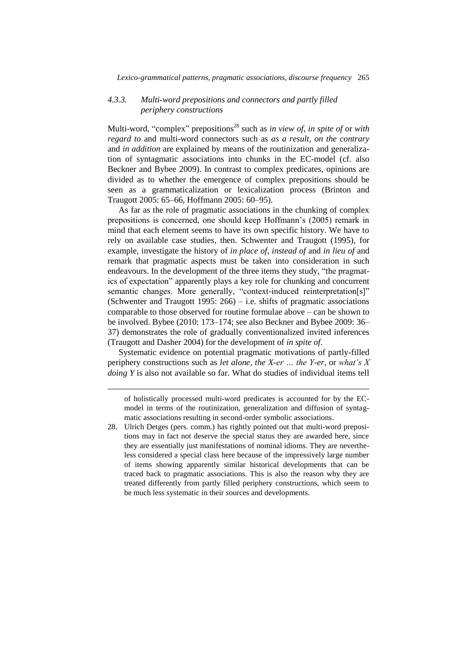## *4.3.3. Multi-word prepositions and connectors and partly filled periphery constructions*

Multi-word, "complex" prepositions <sup>28</sup> such as *in view of*, *in spite of* or *with regard to* and multi-word connectors such as *as a result*, *on the contrary* and *in addition* are explained by means of the routinization and generalization of syntagmatic associations into chunks in the EC-model (cf. also Beckner and Bybee 2009). In contrast to complex predicates, opinions are divided as to whether the emergence of complex prepositions should be seen as a grammaticalization or lexicalization process (Brinton and Traugott 2005: 65–66, Hoffmann 2005: 60–95).

As far as the role of pragmatic associations in the chunking of complex prepositions is concerned, one should keep Hoffmann's (2005) remark in mind that each element seems to have its own specific history. We have to rely on available case studies, then. Schwenter and Traugott (1995), for example, investigate the history of *in place of*, *instead of* and *in lieu of* and remark that pragmatic aspects must be taken into consideration in such endeavours. In the development of the three items they study, "the pragmatics of expectation" apparently plays a key role for chunking and concurrent semantic changes. More generally, "context-induced reinterpretation[s]" (Schwenter and Traugott 1995:  $266$ ) – i.e. shifts of pragmatic associations comparable to those observed for routine formulae above – can be shown to be involved. Bybee (2010: 173–174; see also Beckner and Bybee 2009: 36– 37) demonstrates the role of gradually conventionalized invited inferences (Traugott and Dasher 2004) for the development of *in spite of*.

Systematic evidence on potential pragmatic motivations of partly-filled periphery constructions such as *let alone*, *the X-er … the Y-er*, or *what's X doing Y* is also not available so far. What do studies of individual items tell

-

of holistically processed multi-word predicates is accounted for by the ECmodel in terms of the routinization, generalization and diffusion of syntagmatic associations resulting in second-order symbolic associations.

<sup>28.</sup> Ulrich Detges (pers. comm.) has rightly pointed out that multi-word prepositions may in fact not deserve the special status they are awarded here, since they are essentially just manifestations of nominal idioms. They are nevertheless considered a special class here because of the impressively large number of items showing apparently similar historical developments that can be traced back to pragmatic associations. This is also the reason why they are treated differently from partly filled periphery constructions, which seem to be much less systematic in their sources and developments.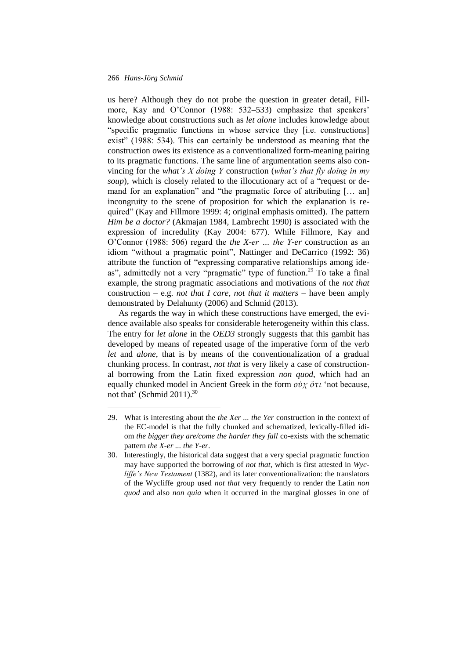$\overline{a}$ 

us here? Although they do not probe the question in greater detail, Fillmore, Kay and O'Connor (1988: 532–533) emphasize that speakers' knowledge about constructions such as *let alone* includes knowledge about "specific pragmatic functions in whose service they [i.e. constructions] exist" (1988: 534). This can certainly be understood as meaning that the construction owes its existence as a conventionalized form-meaning pairing to its pragmatic functions. The same line of argumentation seems also convincing for the *what's X doing Y* construction (*what's that fly doing in my soup*), which is closely related to the illocutionary act of a "request or demand for an explanation" and "the pragmatic force of attributing [… an] incongruity to the scene of proposition for which the explanation is required" (Kay and Fillmore 1999: 4; original emphasis omitted). The pattern *Him be a doctor?* (Akmajan 1984, Lambrecht 1990) is associated with the expression of incredulity (Kay 2004: 677). While Fillmore, Kay and O'Connor (1988: 506) regard the *the X-er … the Y-er* construction as an idiom "without a pragmatic point", Nattinger and DeCarrico (1992: 36) attribute the function of "expressing comparative relationships among ideas", admittedly not a very "pragmatic" type of function.<sup>29</sup> To take a final example, the strong pragmatic associations and motivations of the *not that* construction – e.g. *not that I care*, *not that it matters –* have been amply demonstrated by Delahunty (2006) and Schmid (2013).

As regards the way in which these constructions have emerged, the evidence available also speaks for considerable heterogeneity within this class. The entry for *let alone* in the *OED3* strongly suggests that this gambit has developed by means of repeated usage of the imperative form of the verb *let* and *alone*, that is by means of the conventionalization of a gradual chunking process. In contrast, *not that* is very likely a case of constructional borrowing from the Latin fixed expression *non quod*, which had an equally chunked model in Ancient Greek in the form *οὐχ ὅτι* 'not because, not that' (Schmid 2011).<sup>30</sup>

<sup>29.</sup> What is interesting about the *the Xer ... the Yer* construction in the context of the EC-model is that the fully chunked and schematized, lexically-filled idiom *the bigger they are/come the harder they fall* co-exists with the schematic pattern *the X-er ... the Y-er*.

<sup>30.</sup> Interestingly, the historical data suggest that a very special pragmatic function may have supported the borrowing of *not that*, which is first attested in *Wycliffe's New Testament* (1382), and its later conventionalization: the translators of the Wycliffe group used *not that* very frequently to render the Latin *non quod* and also *non quia* when it occurred in the marginal glosses in one of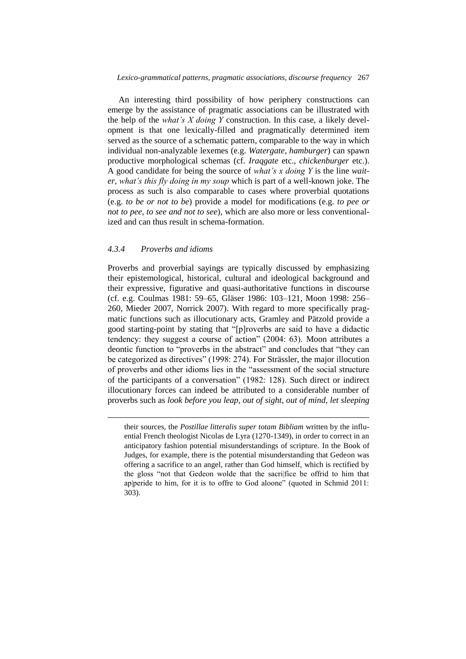An interesting third possibility of how periphery constructions can emerge by the assistance of pragmatic associations can be illustrated with the help of the *what's X doing Y* construction. In this case, a likely development is that one lexically-filled and pragmatically determined item served as the source of a schematic pattern, comparable to the way in which individual non-analyzable lexemes (e.g. *Watergate*, *hamburger*) can spawn productive morphological schemas (cf. *Iraqgate* etc., *chickenburger* etc.). A good candidate for being the source of *what's x doing Y* is the line *waiter*, *what's this fly doing in my soup* which is part of a well-known joke. The process as such is also comparable to cases where proverbial quotations (e.g. *to be or not to be*) provide a model for modifications (e.g. *to pee or not to pee*, *to see and not to see*), which are also more or less conventionalized and can thus result in schema-formation.

## *4.3.4 Proverbs and idioms*

<u>.</u>

Proverbs and proverbial sayings are typically discussed by emphasizing their epistemological, historical, cultural and ideological background and their expressive, figurative and quasi-authoritative functions in discourse (cf. e.g. Coulmas 1981: 59–65, Gläser 1986: 103–121, Moon 1998: 256– 260, Mieder 2007, Norrick 2007). With regard to more specifically pragmatic functions such as illocutionary acts, Gramley and Pätzold provide a good starting-point by stating that "[p]roverbs are said to have a didactic tendency: they suggest a course of action" (2004: 63). Moon attributes a deontic function to "proverbs in the abstract" and concludes that "they can be categorized as directives" (1998: 274). For Strässler, the major illocution of proverbs and other idioms lies in the "assessment of the social structure of the participants of a conversation" (1982: 128). Such direct or indirect illocutionary forces can indeed be attributed to a considerable number of proverbs such as *look before you leap*, *out of sight*, *out of mind*, *let sleeping* 

their sources, the *Postillae litteralis super totam Bibliam* written by the influential French theologist Nicolas de Lyra (1270-1349), in order to correct in an anticipatory fashion potential misunderstandings of scripture. In the Book of Judges, for example, there is the potential misunderstanding that Gedeon was offering a sacrifice to an angel, rather than God himself, which is rectified by the gloss "not that Gedeon wolde that the sacri|fice be offrid to him that ap|peride to him, for it is to offre to God aloone" (quoted in Schmid 2011: 303).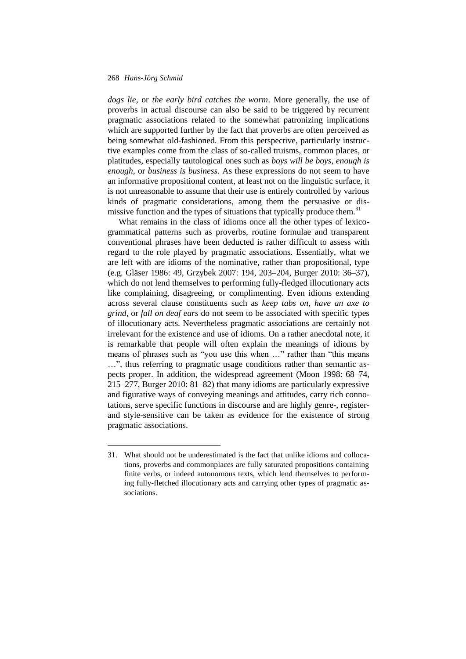$\overline{a}$ 

*dogs lie*, or *the early bird catches the worm*. More generally, the use of proverbs in actual discourse can also be said to be triggered by recurrent pragmatic associations related to the somewhat patronizing implications which are supported further by the fact that proverbs are often perceived as being somewhat old-fashioned. From this perspective, particularly instructive examples come from the class of so-called truisms, common places, or platitudes, especially tautological ones such as *boys will be boys*, *enough is enough*, or *business is business*. As these expressions do not seem to have an informative propositional content, at least not on the linguistic surface, it is not unreasonable to assume that their use is entirely controlled by various kinds of pragmatic considerations, among them the persuasive or dismissive function and the types of situations that typically produce them.<sup>31</sup>

What remains in the class of idioms once all the other types of lexicogrammatical patterns such as proverbs, routine formulae and transparent conventional phrases have been deducted is rather difficult to assess with regard to the role played by pragmatic associations. Essentially, what we are left with are idioms of the nominative, rather than propositional, type (e.g. Gläser 1986: 49, Grzybek 2007: 194, 203–204, Burger 2010: 36–37), which do not lend themselves to performing fully-fledged illocutionary acts like complaining, disagreeing, or complimenting. Even idioms extending across several clause constituents such as *keep tabs on*, *have an axe to grind*, or *fall on deaf ears* do not seem to be associated with specific types of illocutionary acts. Nevertheless pragmatic associations are certainly not irrelevant for the existence and use of idioms. On a rather anecdotal note, it is remarkable that people will often explain the meanings of idioms by means of phrases such as "you use this when …" rather than "this means …", thus referring to pragmatic usage conditions rather than semantic aspects proper. In addition, the widespread agreement (Moon 1998: 68–74, 215–277, Burger 2010: 81–82) that many idioms are particularly expressive and figurative ways of conveying meanings and attitudes, carry rich connotations, serve specific functions in discourse and are highly genre-, registerand style-sensitive can be taken as evidence for the existence of strong pragmatic associations.

<sup>31.</sup> What should not be underestimated is the fact that unlike idioms and collocations, proverbs and commonplaces are fully saturated propositions containing finite verbs, or indeed autonomous texts, which lend themselves to performing fully-fletched illocutionary acts and carrying other types of pragmatic associations.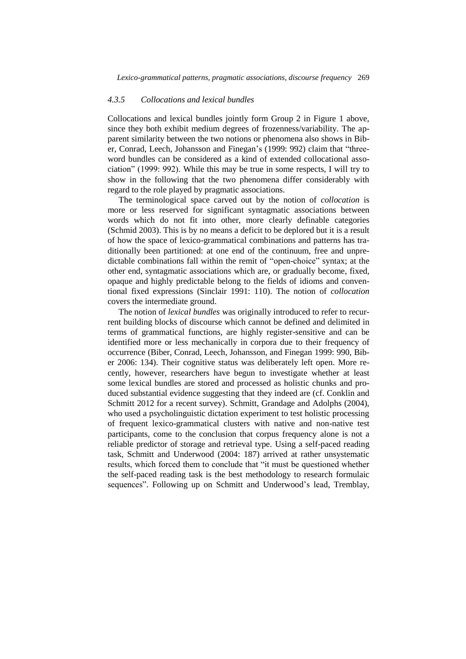## *4.3.5 Collocations and lexical bundles*

Collocations and lexical bundles jointly form Group 2 in Figure 1 above, since they both exhibit medium degrees of frozenness/variability. The apparent similarity between the two notions or phenomena also shows in Biber, Conrad, Leech, Johansson and Finegan's (1999: 992) claim that "threeword bundles can be considered as a kind of extended collocational association" (1999: 992). While this may be true in some respects, I will try to show in the following that the two phenomena differ considerably with regard to the role played by pragmatic associations.

The terminological space carved out by the notion of *collocation* is more or less reserved for significant syntagmatic associations between words which do not fit into other, more clearly definable categories (Schmid 2003). This is by no means a deficit to be deplored but it is a result of how the space of lexico-grammatical combinations and patterns has traditionally been partitioned: at one end of the continuum, free and unpredictable combinations fall within the remit of "open-choice" syntax; at the other end, syntagmatic associations which are, or gradually become, fixed, opaque and highly predictable belong to the fields of idioms and conventional fixed expressions (Sinclair 1991: 110). The notion of *collocation* covers the intermediate ground.

The notion of *lexical bundles* was originally introduced to refer to recurrent building blocks of discourse which cannot be defined and delimited in terms of grammatical functions, are highly register-sensitive and can be identified more or less mechanically in corpora due to their frequency of occurrence (Biber, Conrad, Leech, Johansson, and Finegan 1999: 990, Biber 2006: 134). Their cognitive status was deliberately left open. More recently, however, researchers have begun to investigate whether at least some lexical bundles are stored and processed as holistic chunks and produced substantial evidence suggesting that they indeed are (cf. Conklin and Schmitt 2012 for a recent survey). Schmitt, Grandage and Adolphs (2004), who used a psycholinguistic dictation experiment to test holistic processing of frequent lexico-grammatical clusters with native and non-native test participants, come to the conclusion that corpus frequency alone is not a reliable predictor of storage and retrieval type. Using a self-paced reading task, Schmitt and Underwood (2004: 187) arrived at rather unsystematic results, which forced them to conclude that "it must be questioned whether the self-paced reading task is the best methodology to research formulaic sequences". Following up on Schmitt and Underwood's lead, Tremblay,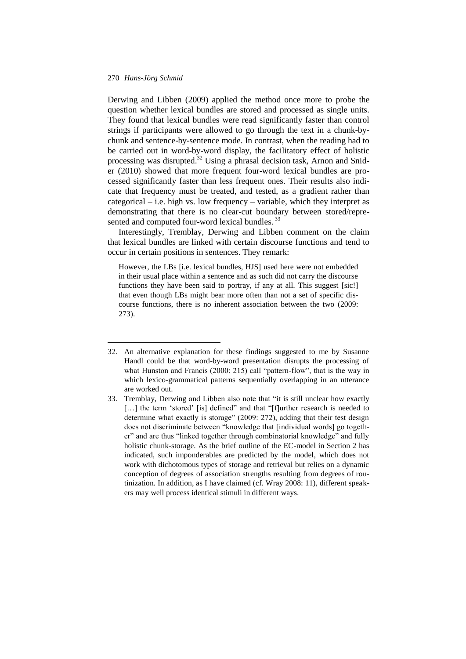$\overline{a}$ 

Derwing and Libben (2009) applied the method once more to probe the question whether lexical bundles are stored and processed as single units. They found that lexical bundles were read significantly faster than control strings if participants were allowed to go through the text in a chunk-bychunk and sentence-by-sentence mode. In contrast, when the reading had to be carried out in word-by-word display, the facilitatory effect of holistic processing was disrupted.<sup>32</sup> Using a phrasal decision task, Arnon and Snider (2010) showed that more frequent four-word lexical bundles are processed significantly faster than less frequent ones. Their results also indicate that frequency must be treated, and tested, as a gradient rather than categorical – i.e. high vs. low frequency – variable, which they interpret as demonstrating that there is no clear-cut boundary between stored/represented and computed four-word lexical bundles.<sup>33</sup>

Interestingly, Tremblay, Derwing and Libben comment on the claim that lexical bundles are linked with certain discourse functions and tend to occur in certain positions in sentences. They remark:

However, the LBs [i.e. lexical bundles, HJS] used here were not embedded in their usual place within a sentence and as such did not carry the discourse functions they have been said to portray, if any at all. This suggest [sic!] that even though LBs might bear more often than not a set of specific discourse functions, there is no inherent association between the two (2009: 273).

<sup>32.</sup> An alternative explanation for these findings suggested to me by Susanne Handl could be that word-by-word presentation disrupts the processing of what Hunston and Francis (2000: 215) call "pattern-flow", that is the way in which lexico-grammatical patterns sequentially overlapping in an utterance are worked out.

<sup>33.</sup> Tremblay, Derwing and Libben also note that "it is still unclear how exactly [...] the term 'stored' [is] defined" and that "[f]urther research is needed to determine what exactly is storage" (2009: 272), adding that their test design does not discriminate between "knowledge that [individual words] go together" and are thus "linked together through combinatorial knowledge" and fully holistic chunk-storage. As the brief outline of the EC-model in Section 2 has indicated, such imponderables are predicted by the model, which does not work with dichotomous types of storage and retrieval but relies on a dynamic conception of degrees of association strengths resulting from degrees of routinization. In addition, as I have claimed (cf. Wray 2008: 11), different speakers may well process identical stimuli in different ways.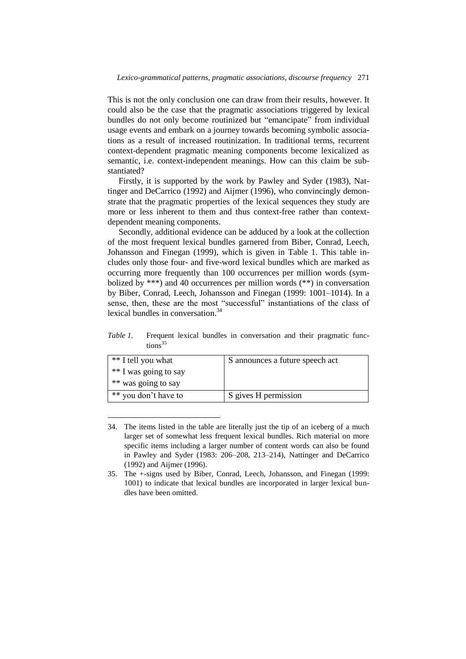This is not the only conclusion one can draw from their results, however. It could also be the case that the pragmatic associations triggered by lexical bundles do not only become routinized but "emancipate" from individual usage events and embark on a journey towards becoming symbolic associations as a result of increased routinization. In traditional terms, recurrent context-dependent pragmatic meaning components become lexicalized as semantic, i.e. context-independent meanings. How can this claim be substantiated?

Firstly, it is supported by the work by Pawley and Syder (1983), Nattinger and DeCarrico (1992) and Aijmer (1996), who convincingly demonstrate that the pragmatic properties of the lexical sequences they study are more or less inherent to them and thus context-free rather than contextdependent meaning components.

Secondly, additional evidence can be adduced by a look at the collection of the most frequent lexical bundles garnered from Biber, Conrad, Leech, Johansson and Finegan (1999), which is given in Table 1. This table includes only those four- and five-word lexical bundles which are marked as occurring more frequently than 100 occurrences per million words (symbolized by \*\*\*) and 40 occurrences per million words (\*\*) in conversation by Biber, Conrad, Leech, Johansson and Finegan (1999: 1001–1014). In a sense, then, these are the most "successful" instantiations of the class of lexical bundles in conversation.<sup>34</sup>

*Table 1.* Frequent lexical bundles in conversation and their pragmatic func $tions<sup>35</sup>$ 

| ** I tell you what    | S announces a future speech act |
|-----------------------|---------------------------------|
| ** I was going to say |                                 |
| ** was going to say   |                                 |
| ** you don't have to  | S gives H permission            |

<sup>34.</sup> The items listed in the table are literally just the tip of an iceberg of a much larger set of somewhat less frequent lexical bundles. Rich material on more specific items including a larger number of content words can also be found in Pawley and Syder (1983: 206–208, 213–214), Nattinger and DeCarrico (1992) and Aijmer (1996).

 $\overline{a}$ 

<sup>35.</sup> The +-signs used by Biber, Conrad, Leech, Johansson, and Finegan (1999: 1001) to indicate that lexical bundles are incorporated in larger lexical bundles have been omitted.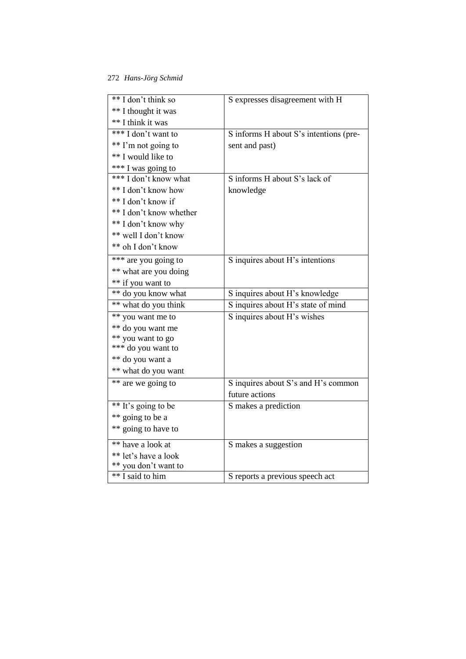| ** I don't think so          | S expresses disagreement with H        |
|------------------------------|----------------------------------------|
| ** I thought it was          |                                        |
| ** I think it was            |                                        |
| $\sqrt{***}$ I don't want to | S informs H about S's intentions (pre- |
| ** I'm not going to          | sent and past)                         |
| ** I would like to           |                                        |
| *** I was going to           |                                        |
| *** I don't know what        | S informs H about S's lack of          |
| ** I don't know how          | knowledge                              |
| ** I don't know if           |                                        |
| ** I don't know whether      |                                        |
| ** I don't know why          |                                        |
| ** well I don't know         |                                        |
| ** oh I don't know           |                                        |
| *** are you going to         | S inquires about H's intentions        |
| ** what are you doing        |                                        |
| ** if you want to            |                                        |
| ** do you know what          | S inquires about H's knowledge         |
| ** what do you think         | S inquires about H's state of mind     |
| ** you want me to            | S inquires about H's wishes            |
| ** do you want me            |                                        |
| ** you want to go            |                                        |
| *** do you want to           |                                        |
| ** do you want a             |                                        |
| ** what do you want          |                                        |
| ** are we going to           | S inquires about S's and H's common    |
|                              | future actions                         |
| $**$ It's going to be        | S makes a prediction                   |
| ** going to be a             |                                        |
| ** going to have to          |                                        |
| ** have a look at            | S makes a suggestion                   |
| ** let's have a look         |                                        |
| ** you don't want to         |                                        |
| ** I said to him             | S reports a previous speech act        |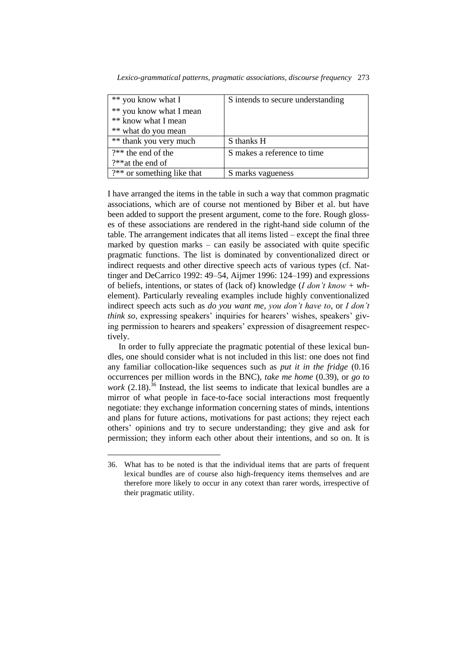| Lexico-grammatical patterns, pragmatic associations, discourse frequency 273 |  |  |  |
|------------------------------------------------------------------------------|--|--|--|
|------------------------------------------------------------------------------|--|--|--|

| ** you know what I         | S intends to secure understanding |
|----------------------------|-----------------------------------|
| ** you know what I mean    |                                   |
| ** know what I mean        |                                   |
| ** what do you mean        |                                   |
| ** thank you very much     | S thanks H                        |
| $?***$ the end of the      | S makes a reference to time       |
| ?**at the end of           |                                   |
| ?** or something like that | S marks vagueness                 |

I have arranged the items in the table in such a way that common pragmatic associations, which are of course not mentioned by Biber et al. but have been added to support the present argument, come to the fore. Rough glosses of these associations are rendered in the right-hand side column of the table. The arrangement indicates that all items listed – except the final three marked by question marks – can easily be associated with quite specific pragmatic functions. The list is dominated by conventionalized direct or indirect requests and other directive speech acts of various types (cf. Nattinger and DeCarrico 1992: 49–54, Aijmer 1996: 124–199) and expressions of beliefs, intentions, or states of (lack of) knowledge (*I don't know* + *wh*element). Particularly revealing examples include highly conventionalized indirect speech acts such as *do you want me*, *you don't have to*, or *I don't think so*, expressing speakers' inquiries for hearers' wishes, speakers' giving permission to hearers and speakers' expression of disagreement respectively.

In order to fully appreciate the pragmatic potential of these lexical bundles, one should consider what is not included in this list: one does not find any familiar collocation-like sequences such as *put it in the fridge* (0.16 occurrences per million words in the BNC), *take me home* (0.39), or *go to work* (2.18). <sup>36</sup> Instead, the list seems to indicate that lexical bundles are a mirror of what people in face-to-face social interactions most frequently negotiate: they exchange information concerning states of minds, intentions and plans for future actions, motivations for past actions; they reject each others' opinions and try to secure understanding; they give and ask for permission; they inform each other about their intentions, and so on. It is

 $\overline{a}$ 

<sup>36.</sup> What has to be noted is that the individual items that are parts of frequent lexical bundles are of course also high-frequency items themselves and are therefore more likely to occur in any cotext than rarer words, irrespective of their pragmatic utility.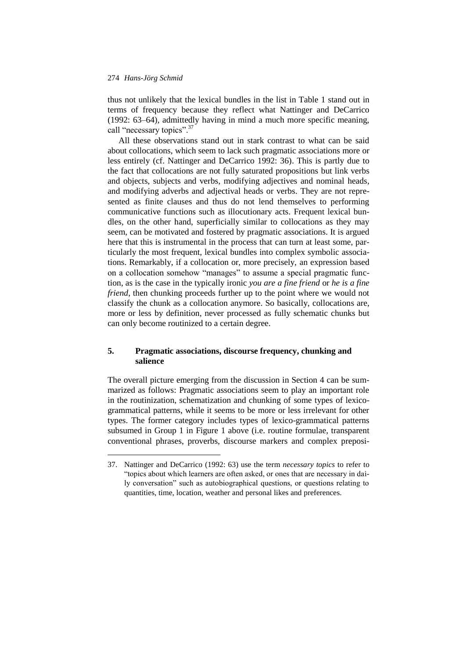$\overline{a}$ 

thus not unlikely that the lexical bundles in the list in Table 1 stand out in terms of frequency because they reflect what Nattinger and DeCarrico (1992: 63–64), admittedly having in mind a much more specific meaning, call "necessary topics".<sup>37</sup>

All these observations stand out in stark contrast to what can be said about collocations, which seem to lack such pragmatic associations more or less entirely (cf. Nattinger and DeCarrico 1992: 36). This is partly due to the fact that collocations are not fully saturated propositions but link verbs and objects, subjects and verbs, modifying adjectives and nominal heads, and modifying adverbs and adjectival heads or verbs. They are not represented as finite clauses and thus do not lend themselves to performing communicative functions such as illocutionary acts. Frequent lexical bundles, on the other hand, superficially similar to collocations as they may seem, can be motivated and fostered by pragmatic associations. It is argued here that this is instrumental in the process that can turn at least some, particularly the most frequent, lexical bundles into complex symbolic associations. Remarkably, if a collocation or, more precisely, an expression based on a collocation somehow "manages" to assume a special pragmatic function, as is the case in the typically ironic *you are a fine friend* or *he is a fine friend*, then chunking proceeds further up to the point where we would not classify the chunk as a collocation anymore. So basically, collocations are, more or less by definition, never processed as fully schematic chunks but can only become routinized to a certain degree.

## **5. Pragmatic associations, discourse frequency, chunking and salience**

The overall picture emerging from the discussion in Section 4 can be summarized as follows: Pragmatic associations seem to play an important role in the routinization, schematization and chunking of some types of lexicogrammatical patterns, while it seems to be more or less irrelevant for other types. The former category includes types of lexico-grammatical patterns subsumed in Group 1 in Figure 1 above (i.e. routine formulae, transparent conventional phrases, proverbs, discourse markers and complex preposi-

<sup>37.</sup> Nattinger and DeCarrico (1992: 63) use the term *necessary topics* to refer to "topics about which learners are often asked, or ones that are necessary in daily conversation" such as autobiographical questions, or questions relating to quantities, time, location, weather and personal likes and preferences.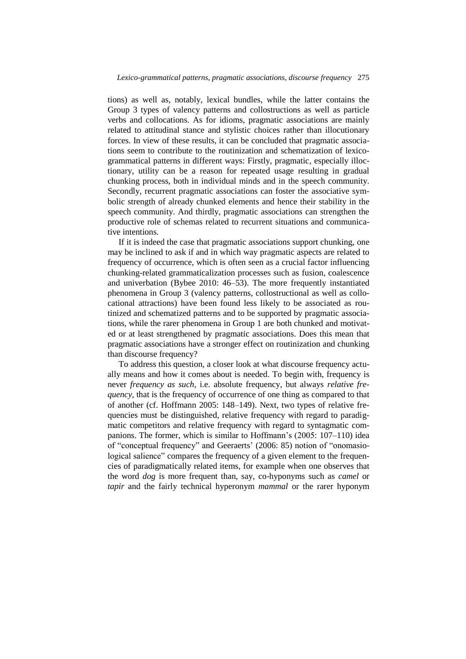tions) as well as, notably, lexical bundles, while the latter contains the Group 3 types of valency patterns and collostructions as well as particle verbs and collocations. As for idioms, pragmatic associations are mainly related to attitudinal stance and stylistic choices rather than illocutionary forces. In view of these results, it can be concluded that pragmatic associations seem to contribute to the routinization and schematization of lexicogrammatical patterns in different ways: Firstly, pragmatic, especially illoctionary, utility can be a reason for repeated usage resulting in gradual chunking process, both in individual minds and in the speech community. Secondly, recurrent pragmatic associations can foster the associative symbolic strength of already chunked elements and hence their stability in the speech community. And thirdly, pragmatic associations can strengthen the productive role of schemas related to recurrent situations and communicative intentions.

If it is indeed the case that pragmatic associations support chunking, one may be inclined to ask if and in which way pragmatic aspects are related to frequency of occurrence, which is often seen as a crucial factor influencing chunking-related grammaticalization processes such as fusion, coalescence and univerbation (Bybee 2010: 46–53). The more frequently instantiated phenomena in Group 3 (valency patterns, collostructional as well as collocational attractions) have been found less likely to be associated as routinized and schematized patterns and to be supported by pragmatic associations, while the rarer phenomena in Group 1 are both chunked and motivated or at least strengthened by pragmatic associations. Does this mean that pragmatic associations have a stronger effect on routinization and chunking than discourse frequency?

To address this question, a closer look at what discourse frequency actually means and how it comes about is needed. To begin with, frequency is never *frequency as such*, i.e. absolute frequency, but always *relative frequency*, that is the frequency of occurrence of one thing as compared to that of another (cf. Hoffmann 2005: 148–149). Next, two types of relative frequencies must be distinguished, relative frequency with regard to paradigmatic competitors and relative frequency with regard to syntagmatic companions. The former, which is similar to Hoffmann's (2005: 107–110) idea of "conceptual frequency" and Geeraerts' (2006: 85) notion of "onomasiological salience" compares the frequency of a given element to the frequencies of paradigmatically related items, for example when one observes that the word *dog* is more frequent than, say, co-hyponyms such as *camel* or *tapir* and the fairly technical hyperonym *mammal* or the rarer hyponym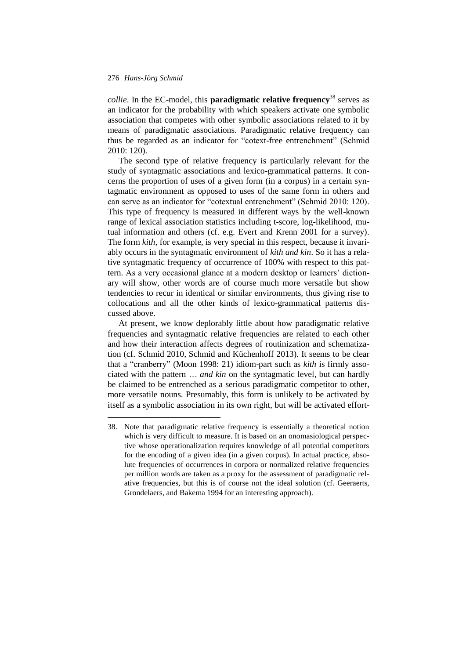$\overline{a}$ 

*collie*. In the EC-model, this **paradigmatic relative frequency**<sup>38</sup> serves as an indicator for the probability with which speakers activate one symbolic association that competes with other symbolic associations related to it by means of paradigmatic associations. Paradigmatic relative frequency can thus be regarded as an indicator for "cotext-free entrenchment" (Schmid 2010: 120).

The second type of relative frequency is particularly relevant for the study of syntagmatic associations and lexico-grammatical patterns. It concerns the proportion of uses of a given form (in a corpus) in a certain syntagmatic environment as opposed to uses of the same form in others and can serve as an indicator for "cotextual entrenchment" (Schmid 2010: 120). This type of frequency is measured in different ways by the well-known range of lexical association statistics including t-score, log-likelihood, mutual information and others (cf. e.g. Evert and Krenn 2001 for a survey). The form *kith*, for example, is very special in this respect, because it invariably occurs in the syntagmatic environment of *kith and kin*. So it has a relative syntagmatic frequency of occurrence of 100% with respect to this pattern. As a very occasional glance at a modern desktop or learners' dictionary will show, other words are of course much more versatile but show tendencies to recur in identical or similar environments, thus giving rise to collocations and all the other kinds of lexico-grammatical patterns discussed above.

At present, we know deplorably little about how paradigmatic relative frequencies and syntagmatic relative frequencies are related to each other and how their interaction affects degrees of routinization and schematization (cf. Schmid 2010, Schmid and Küchenhoff 2013). It seems to be clear that a "cranberry" (Moon 1998: 21) idiom-part such as *kith* is firmly associated with the pattern … *and kin* on the syntagmatic level, but can hardly be claimed to be entrenched as a serious paradigmatic competitor to other, more versatile nouns. Presumably, this form is unlikely to be activated by itself as a symbolic association in its own right, but will be activated effort-

<sup>38.</sup> Note that paradigmatic relative frequency is essentially a theoretical notion which is very difficult to measure. It is based on an onomasiological perspective whose operationalization requires knowledge of all potential competitors for the encoding of a given idea (in a given corpus). In actual practice, absolute frequencies of occurrences in corpora or normalized relative frequencies per million words are taken as a proxy for the assessment of paradigmatic relative frequencies, but this is of course not the ideal solution (cf. Geeraerts, Grondelaers, and Bakema 1994 for an interesting approach).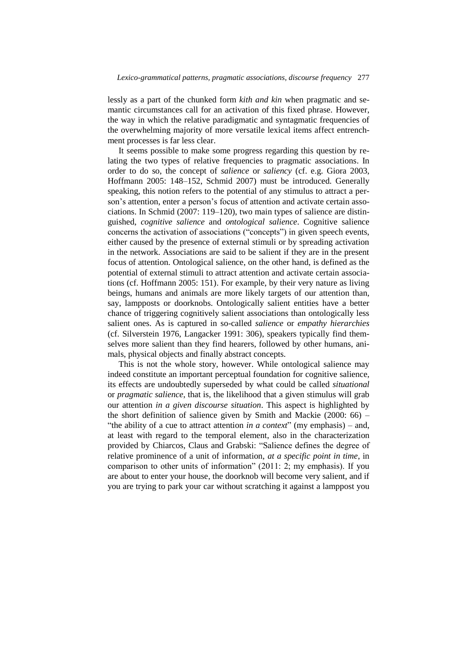lessly as a part of the chunked form *kith and kin* when pragmatic and semantic circumstances call for an activation of this fixed phrase. However, the way in which the relative paradigmatic and syntagmatic frequencies of the overwhelming majority of more versatile lexical items affect entrenchment processes is far less clear.

It seems possible to make some progress regarding this question by relating the two types of relative frequencies to pragmatic associations. In order to do so, the concept of *salience* or *saliency* (cf. e.g. Giora 2003, Hoffmann 2005: 148–152, Schmid 2007) must be introduced. Generally speaking, this notion refers to the potential of any stimulus to attract a person's attention, enter a person's focus of attention and activate certain associations. In Schmid (2007: 119–120), two main types of salience are distinguished, *cognitive salience* and *ontological salience*. Cognitive salience concerns the activation of associations ("concepts") in given speech events, either caused by the presence of external stimuli or by spreading activation in the network. Associations are said to be salient if they are in the present focus of attention. Ontological salience, on the other hand, is defined as the potential of external stimuli to attract attention and activate certain associations (cf. Hoffmann 2005: 151). For example, by their very nature as living beings, humans and animals are more likely targets of our attention than, say, lampposts or doorknobs. Ontologically salient entities have a better chance of triggering cognitively salient associations than ontologically less salient ones. As is captured in so-called *salience* or *empathy hierarchies* (cf. Silverstein 1976, Langacker 1991: 306), speakers typically find themselves more salient than they find hearers, followed by other humans, animals, physical objects and finally abstract concepts.

This is not the whole story, however. While ontological salience may indeed constitute an important perceptual foundation for cognitive salience, its effects are undoubtedly superseded by what could be called *situational*  or *pragmatic salience*, that is, the likelihood that a given stimulus will grab our attention *in a given discourse situation*. This aspect is highlighted by the short definition of salience given by Smith and Mackie (2000: 66) – "the ability of a cue to attract attention *in a context*" (my emphasis) – and, at least with regard to the temporal element, also in the characterization provided by Chiarcos, Claus and Grabski: "Salience defines the degree of relative prominence of a unit of information, *at a specific point in time*, in comparison to other units of information" (2011: 2; my emphasis). If you are about to enter your house, the doorknob will become very salient, and if you are trying to park your car without scratching it against a lamppost you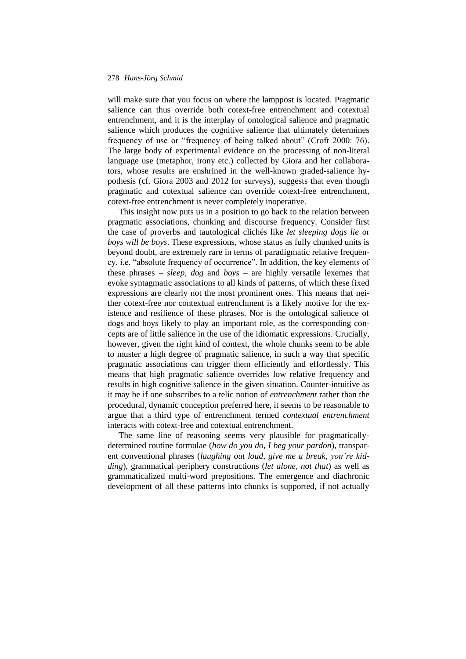will make sure that you focus on where the lamppost is located. Pragmatic salience can thus override both cotext-free entrenchment and cotextual entrenchment, and it is the interplay of ontological salience and pragmatic salience which produces the cognitive salience that ultimately determines frequency of use or "frequency of being talked about" (Croft 2000: 76). The large body of experimental evidence on the processing of non-literal language use (metaphor, irony etc.) collected by Giora and her collaborators, whose results are enshrined in the well-known graded-salience hypothesis (cf. Giora 2003 and 2012 for surveys), suggests that even though pragmatic and cotextual salience can override cotext-free entrenchment, cotext-free entrenchment is never completely inoperative.

This insight now puts us in a position to go back to the relation between pragmatic associations, chunking and discourse frequency. Consider first the case of proverbs and tautological clichés like *let sleeping dogs lie* or *boys will be boys*. These expressions, whose status as fully chunked units is beyond doubt, are extremely rare in terms of paradigmatic relative frequency, i.e. "absolute frequency of occurrence". In addition, the key elements of these phrases – *sleep*, *dog* and *boys* – are highly versatile lexemes that evoke syntagmatic associations to all kinds of patterns, of which these fixed expressions are clearly not the most prominent ones. This means that neither cotext-free nor contextual entrenchment is a likely motive for the existence and resilience of these phrases. Nor is the ontological salience of dogs and boys likely to play an important role, as the corresponding concepts are of little salience in the use of the idiomatic expressions. Crucially, however, given the right kind of context, the whole chunks seem to be able to muster a high degree of pragmatic salience, in such a way that specific pragmatic associations can trigger them efficiently and effortlessly. This means that high pragmatic salience overrides low relative frequency and results in high cognitive salience in the given situation. Counter-intuitive as it may be if one subscribes to a telic notion of *entrenchment* rather than the procedural, dynamic conception preferred here, it seems to be reasonable to argue that a third type of entrenchment termed *contextual entrenchment* interacts with cotext-free and cotextual entrenchment.

The same line of reasoning seems very plausible for pragmaticallydetermined routine formulae (*how do you do*, *I beg your pardon*), transparent conventional phrases (*laughing out loud*, *give me a break*, *you're kidding*), grammatical periphery constructions (*let alone*, *not that*) as well as grammaticalized multi-word prepositions. The emergence and diachronic development of all these patterns into chunks is supported, if not actually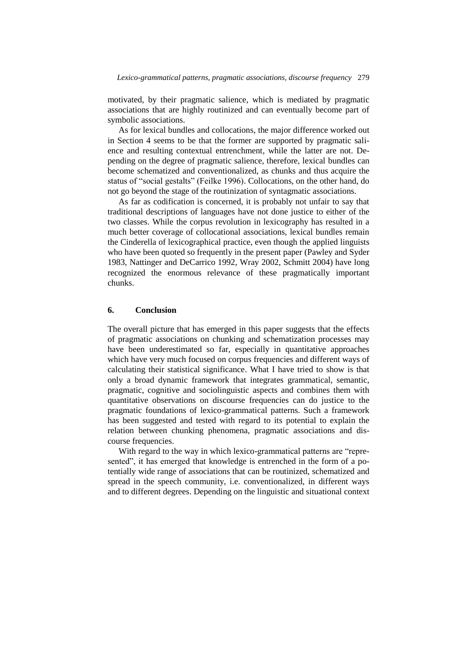motivated, by their pragmatic salience, which is mediated by pragmatic associations that are highly routinized and can eventually become part of symbolic associations.

As for lexical bundles and collocations, the major difference worked out in Section 4 seems to be that the former are supported by pragmatic salience and resulting contextual entrenchment, while the latter are not. Depending on the degree of pragmatic salience, therefore, lexical bundles can become schematized and conventionalized, as chunks and thus acquire the status of "social gestalts" (Feilke 1996). Collocations, on the other hand, do not go beyond the stage of the routinization of syntagmatic associations.

As far as codification is concerned, it is probably not unfair to say that traditional descriptions of languages have not done justice to either of the two classes. While the corpus revolution in lexicography has resulted in a much better coverage of collocational associations, lexical bundles remain the Cinderella of lexicographical practice, even though the applied linguists who have been quoted so frequently in the present paper (Pawley and Syder 1983, Nattinger and DeCarrico 1992, Wray 2002, Schmitt 2004) have long recognized the enormous relevance of these pragmatically important chunks.

### **6. Conclusion**

The overall picture that has emerged in this paper suggests that the effects of pragmatic associations on chunking and schematization processes may have been underestimated so far, especially in quantitative approaches which have very much focused on corpus frequencies and different ways of calculating their statistical significance. What I have tried to show is that only a broad dynamic framework that integrates grammatical, semantic, pragmatic, cognitive and sociolinguistic aspects and combines them with quantitative observations on discourse frequencies can do justice to the pragmatic foundations of lexico-grammatical patterns. Such a framework has been suggested and tested with regard to its potential to explain the relation between chunking phenomena, pragmatic associations and discourse frequencies.

With regard to the way in which lexico-grammatical patterns are "represented", it has emerged that knowledge is entrenched in the form of a potentially wide range of associations that can be routinized, schematized and spread in the speech community, i.e. conventionalized, in different ways and to different degrees. Depending on the linguistic and situational context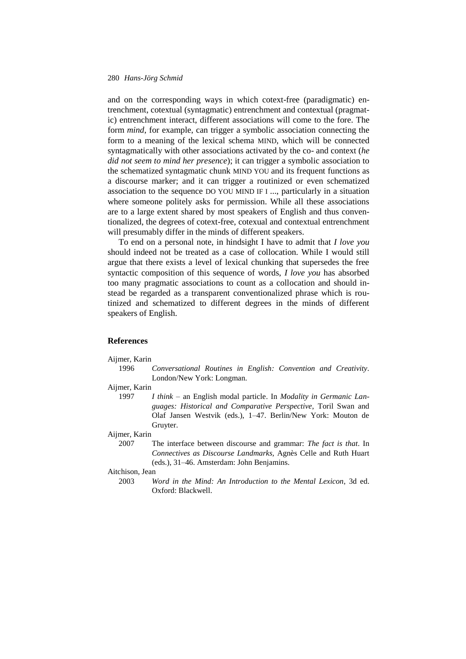and on the corresponding ways in which cotext-free (paradigmatic) entrenchment, cotextual (syntagmatic) entrenchment and contextual (pragmatic) entrenchment interact, different associations will come to the fore. The form *mind*, for example, can trigger a symbolic association connecting the form to a meaning of the lexical schema MIND, which will be connected syntagmatically with other associations activated by the co- and context (*he did not seem to mind her presence*); it can trigger a symbolic association to the schematized syntagmatic chunk MIND YOU and its frequent functions as a discourse marker; and it can trigger a routinized or even schematized association to the sequence DO YOU MIND IF I ..., particularly in a situation where someone politely asks for permission. While all these associations are to a large extent shared by most speakers of English and thus conventionalized, the degrees of cotext-free, cotexual and contextual entrenchment will presumably differ in the minds of different speakers.

To end on a personal note, in hindsight I have to admit that *I love you* should indeed not be treated as a case of collocation. While I would still argue that there exists a level of lexical chunking that supersedes the free syntactic composition of this sequence of words, *I love you* has absorbed too many pragmatic associations to count as a collocation and should instead be regarded as a transparent conventionalized phrase which is routinized and schematized to different degrees in the minds of different speakers of English.

### **References**

#### Aijmer, Karin

1996 *Conversational Routines in English: Convention and Creativity*. London/New York: Longman.

### Aijmer, Karin

1997 *I think* – an English modal particle. In *Modality in Germanic Languages: Historical and Comparative Perspective*, Toril Swan and Olaf Jansen Westvik (eds.), 1–47. Berlin/New York: Mouton de Gruyter.

#### Aijmer, Karin

2007 The interface between discourse and grammar: *The fact is that*. In *Connectives as Discourse Landmarks,* Agnès Celle and Ruth Huart (eds.), 31–46. Amsterdam: John Benjamins.

#### Aitchison, Jean

2003 *Word in the Mind: An Introduction to the Mental Lexicon*, 3d ed. Oxford: Blackwell.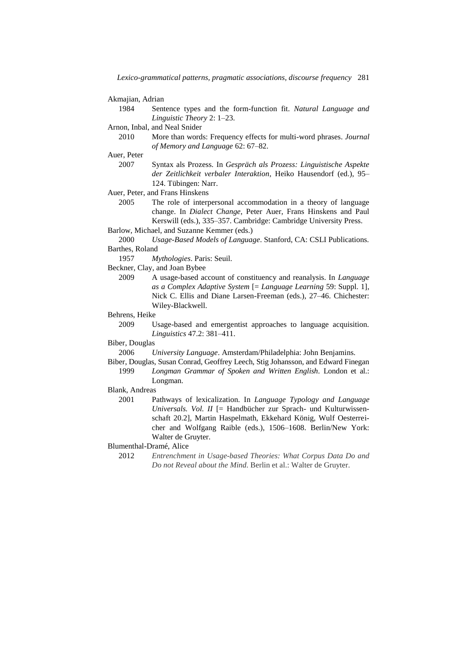Akmajian, Adrian

- Sentence types and the form-function fit. *Natural Language and Linguistic Theory* 2: 1–23.
- Arnon, Inbal, and Neal Snider
	- 2010 More than words: Frequency effects for multi-word phrases. *Journal of Memory and Language* 62: 67–82.
- Auer, Peter
	- 2007 Syntax als Prozess. In *Gespräch als Prozess: Linguistische Aspekte der Zeitlichkeit verbaler Interaktion*, Heiko Hausendorf (ed.), 95– 124. Tübingen: Narr.
- Auer, Peter, and Frans Hinskens
	- 2005 The role of interpersonal accommodation in a theory of language change. In *Dialect Change*, Peter Auer, Frans Hinskens and Paul Kerswill (eds.), 335–357. Cambridge: Cambridge University Press.
- Barlow, Michael, and Suzanne Kemmer (eds.)
- 2000 *Usage-Based Models of Language*. Stanford, CA: CSLI Publications. Barthes, Roland
	- 1957 *Mythologies*. Paris: Seuil.
- Beckner, Clay, and Joan Bybee
	- 2009 A usage-based account of constituency and reanalysis. In *Language as a Complex Adaptive System* [= *Language Learning* 59: Suppl. 1], Nick C. Ellis and Diane Larsen-Freeman (eds.), 27–46. Chichester: Wiley-Blackwell.
- Behrens, Heike
	- 2009 Usage-based and emergentist approaches to language acquisition. *Linguistics* 47.2: 381–411.

### Biber, Douglas

- 2006 *University Language*. Amsterdam/Philadelphia: John Benjamins.
- Biber, Douglas, Susan Conrad, Geoffrey Leech, Stig Johansson, and Edward Finegan 1999 *Longman Grammar of Spoken and Written English*. London et al.: Longman.

#### Blank, Andreas

2001 Pathways of lexicalization. In *Language Typology and Language Universals. Vol. II* [= Handbücher zur Sprach- und Kulturwissenschaft 20.2], Martin Haspelmath, Ekkehard König, Wulf Oesterreicher and Wolfgang Raible (eds.), 1506–1608. Berlin/New York: Walter de Gruyter.

#### Blumenthal-Dramé, Alice

2012 *Entrenchment in Usage-based Theories: What Corpus Data Do and Do not Reveal about the Mind*. Berlin et al.: Walter de Gruyter.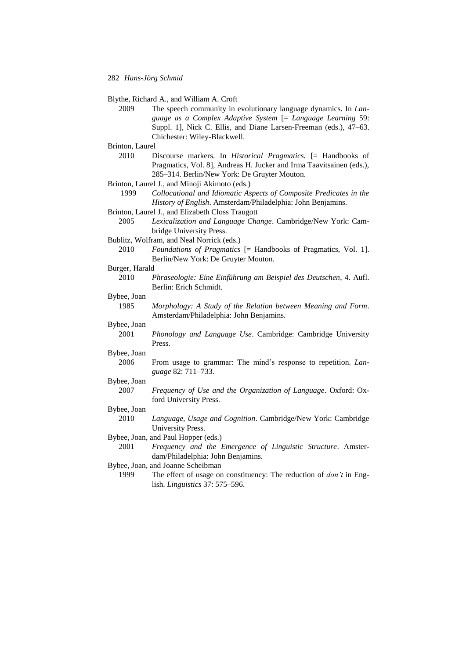Blythe, Richard A., and William A. Croft

- 2009 The speech community in evolutionary language dynamics. In *Language as a Complex Adaptive System* [= *Language Learning* 59: Suppl. 1], Nick C. Ellis, and Diane Larsen-Freeman (eds.), 47–63. Chichester: Wiley-Blackwell.
- Brinton, Laurel
	- 2010 Discourse markers. In *Historical Pragmatics.* [= Handbooks of Pragmatics, Vol. 8], Andreas H. Jucker and Irma Taavitsainen (eds.), 285–314. Berlin/New York: De Gruyter Mouton.
- Brinton, Laurel J., and Minoji Akimoto (eds.)
	- 1999 *Collocational and Idiomatic Aspects of Composite Predicates in the History of English*. Amsterdam/Philadelphia: John Benjamins.
- Brinton, Laurel J., and Elizabeth Closs Traugott
	- 2005 *Lexicalization and Language Change*. Cambridge/New York: Cambridge University Press.
- Bublitz, Wolfram, and Neal Norrick (eds.)
	- 2010 *Foundations of Pragmatics* [= Handbooks of Pragmatics, Vol. 1]. Berlin/New York: De Gruyter Mouton.

### Burger, Harald

- 2010 *Phraseologie: Eine Einführung am Beispiel des Deutschen*, 4. Aufl. Berlin: Erich Schmidt.
- Bybee, Joan
	- 1985 *Morphology: A Study of the Relation between Meaning and Form*. Amsterdam/Philadelphia: John Benjamins.
- Bybee, Joan
	- 2001 *Phonology and Language Use*. Cambridge: Cambridge University Press.
- Bybee, Joan
	- 2006 From usage to grammar: The mind's response to repetition. *Language* 82: 711–733.

### Bybee, Joan

2007 *Frequency of Use and the Organization of Language*. Oxford: Oxford University Press.

### Bybee, Joan

- 2010 *Language, Usage and Cognition*. Cambridge/New York: Cambridge University Press.
- Bybee, Joan, and Paul Hopper (eds.)
- 2001 *Frequency and the Emergence of Linguistic Structure*. Amsterdam/Philadelphia: John Benjamins.

## Bybee, Joan, and Joanne Scheibman

1999 The effect of usage on constituency: The reduction of *don't* in English. *Linguistics* 37: 575–596.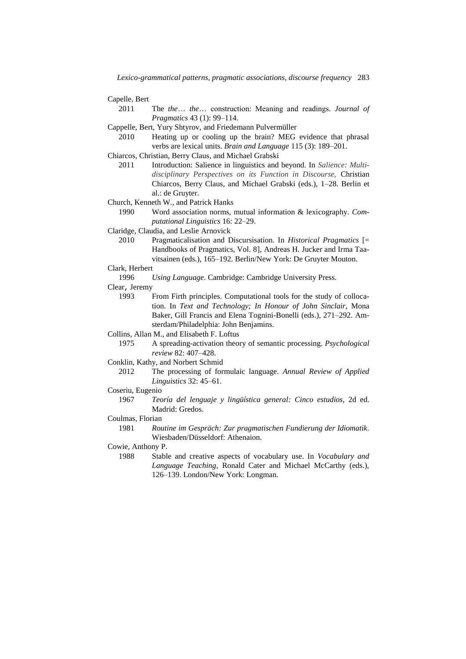### Capelle, Bert

- 2011 The *the*… *the*… construction: Meaning and readings. *Journal of Pragmatics* 43 (1): 99–114.
- Cappelle, Bert, Yury Shtyrov, and Friedemann Pulvermüller
	- 2010 Heating up or cooling up the brain? MEG evidence that phrasal verbs are lexical units. *Brain and Language* 115 (3): 189–201.
- Chiarcos, Christian, Berry Claus, and Michael Grabski
	- 2011 Introduction: Salience in linguistics and beyond. In *Salience: Multidisciplinary Perspectives on its Function in Discourse,* Christian Chiarcos, Berry Claus, and Michael Grabski (eds.), 1–28. Berlin et al.: de Gruyter.
- Church, Kenneth W., and Patrick Hanks
	- 1990 Word association norms, mutual information & lexicography. *Computational Linguistics* 16: 22–29.
- Claridge, Claudia, and Leslie Arnovick
	- 2010 Pragmaticalisation and Discursisation. In *Historical Pragmatics* [= Handbooks of Pragmatics, Vol. 8], Andreas H. Jucker and Irma Taavitsainen (eds.), 165–192. Berlin/New York: De Gruyter Mouton.

### Clark, Herbert

1996 *Using Language*. Cambridge: Cambridge University Press.

- Clear, Jeremy
	- 1993 From Firth principles. Computational tools for the study of collocation. In *Text and Technology; In Honour of John Sinclair*, Mona Baker, Gill Francis and Elena Tognini-Bonelli (eds.), 271–292. Amsterdam/Philadelphia: John Benjamins.
- Collins, Allan M., and Elisabeth F. Loftus
	- 1975 A spreading-activation theory of semantic processing. *Psychological review* 82: 407–428.
- Conklin, Kathy, and Norbert Schmid
	- 2012 The processing of formulaic language. *Annual Review of Applied Linguistics* 32: 45–61.

#### Coseriu, Eugenio

1967 *Teoría del lenguaje y lingüística general: Cinco estudios*, 2d ed. Madrid: Gredos.

#### Coulmas, Florian

1981 *Routine im Gespräch: Zur pragmatischen Fundierung der Idiomatik*. Wiesbaden/Düsseldorf: Athenaion.

#### Cowie, Anthony P.

1988 Stable and creative aspects of vocabulary use. In *Vocabulary and Language Teaching*, Ronald Cater and Michael McCarthy (eds.), 126–139. London/New York: Longman.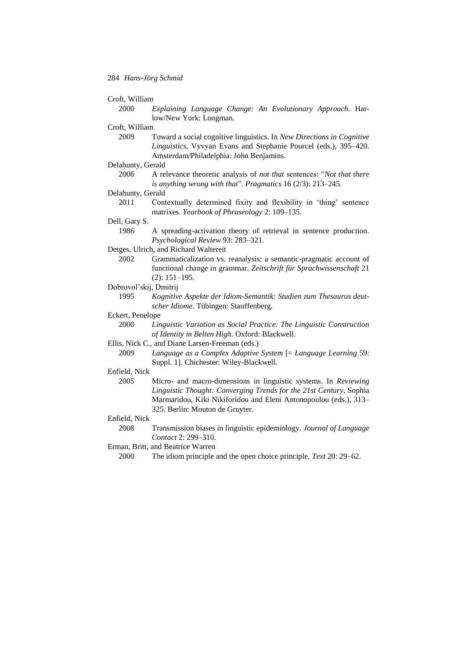### Croft, William

2000 *Explaining Language Change: An Evolutionary Approach*. Harlow/New York: Longman.

## Croft, William

2009 Toward a social cognitive linguistics. In *New Directions in Cognitive Linguistics*, Vyvyan Evans and Stephanie Pourcel (eds.), 395–420. Amsterdam/Philadelphia: John Benjamins.

## Delahunty, Gerald

2006 A relevance theoretic analysis of *not that* sentences: "*Not that there is anything wrong with that*". *Pragmatics* 16 (2/3): 213–245.

### Delahunty, Gerald

2011 Contextually determined fixity and flexibility in 'thing' sentence matrixes. *Yearbook of Phraseology* 2: 109–135.

### Dell, Gary S.

1986 A spreading-activation theory of retrieval in sentence production. *Psychological Review* 93: 283–321.

#### Detges, Ulrich, and Richard Waltereit

- 2002 Grammaticalization vs. reanalysis: a semantic-pragmatic account of functional change in grammar. *Zeitschrift für Sprachwissenschaft* 21 (2): 151–195.
- Dobrovol'skij, Dmitrij
- 1995 *Kognitive Aspekte der Idiom-Semantik: Studien zum Thesaurus deutscher Idiome*. Tübingen: Stauffenberg.

### Eckert, Penelope

- 2000 *Linguistic Variation as Social Practice: The Linguistic Construction of Identity in Belten High*. Oxford: Blackwell.
- Ellis, Nick C., and Diane Larsen-Freeman (eds.)
- 2009 *Language as a Complex Adaptive System* [= *Language Learning* 59: Suppl. 1]. Chichester: Wiley-Blackwell.

### Enfield, Nick

2005 Micro- and macro-dimensions in linguistic systems. In *Reviewing Linguistic Thought: Converging Trends for the 21st Century*, Sophia Marmaridou, Kiki Nikiforidou and Eleni Antonopoulou (eds.), 313– 325. Berlin: Mouton de Gruyter.

#### Enfield, Nick

- 2008 Transmission biases in linguistic epidemiology. *Journal of Language Contact* 2: 299–310.
- Erman, Britt, and Beatrice Warren
	- 2000 The idiom principle and the open choice principle. *Text* 20: 29–62.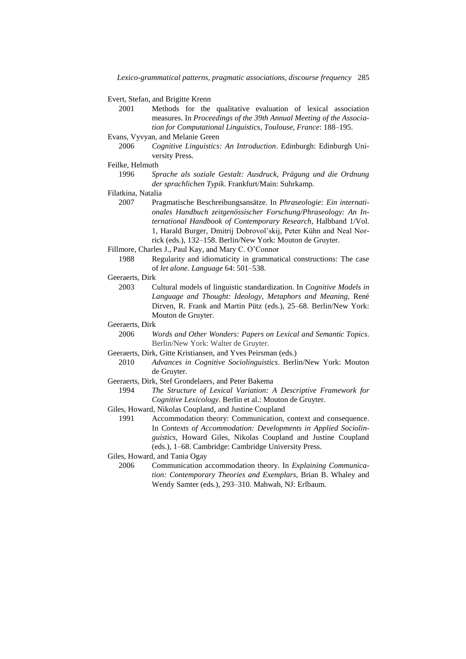### Evert, Stefan, and Brigitte Krenn

- 2001 Methods for the qualitative evaluation of lexical association measures. In *Proceedings of the 39th Annual Meeting of the Association for Computational Linguistics*, *Toulouse, France*: 188–195.
- Evans, Vyvyan, and Melanie Green
- 2006 *Cognitive Linguistics: An Introduction*. Edinburgh: Edinburgh University Press.
- Feilke, Helmuth
- 1996 *Sprache als soziale Gestalt: Ausdruck, Prägung und die Ordnung der sprachlichen Typik*. Frankfurt/Main: Suhrkamp.

### Filatkina, Natalia

- 2007 Pragmatische Beschreibungsansätze. In *Phraseologie: Ein internationales Handbuch zeitgenössischer Forschung/Phraseology: An International Handbook of Contemporary Research*, Halbband 1/Vol. 1, Harald Burger, Dmitrij Dobrovol'skij, Peter Kühn and Neal Norrick (eds.), 132–158. Berlin/New York: Mouton de Gruyter.
- Fillmore, Charles J., Paul Kay, and Mary C. O'Connor
	- 1988 Regularity and idiomaticity in grammatical constructions: The case of *let alone*. *Language* 64: 501–538.

#### Geeraerts, Dirk

- 2003 Cultural models of linguistic standardization. In *Cognitive Models in Language and Thought: Ideology, Metaphors and Meaning*, René Dirven, R. Frank and Martin Pütz (eds.), 25–68. Berlin/New York: Mouton de Gruyter.
- Geeraerts, Dirk
	- 2006 *Words and Other Wonders: Papers on Lexical and Semantic Topics*. Berlin/New York: Walter de Gruyter.
- Geeraerts, Dirk, Gitte Kristiansen, and Yves Peirsman (eds.)
- 2010 *Advances in Cognitive Sociolinguistics*. Berlin/New York: Mouton de Gruyter.
- Geeraerts, Dirk, Stef Grondelaers, and Peter Bakema
- 1994 *The Structure of Lexical Variation: A Descriptive Framework for Cognitive Lexicology*. Berlin et al.: Mouton de Gruyter.
- Giles, Howard, Nikolas Coupland, and Justine Coupland
	- 1991 Accommodation theory: Communication, context and consequence. In *Contexts of Accommodation: Developments in Applied Sociolinguistics*, Howard Giles, Nikolas Coupland and Justine Coupland (eds.), 1–68. Cambridge: Cambridge University Press.
- Giles, Howard, and Tania Ogay
	- 2006 Communication accommodation theory. In *Explaining Communication: Contemporary Theories and Exemplars*, Brian B. Whaley and Wendy Samter (eds.), 293–310. Mahwah, NJ: Erlbaum.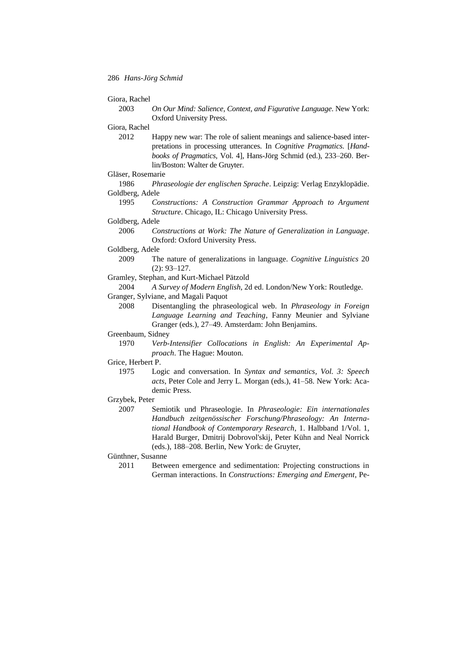## Giora, Rachel

2003 *On Our Mind: Salience, Context, and Figurative Language*. New York: Oxford University Press.

## Giora, Rachel

2012 Happy new war: The role of salient meanings and salience-based interpretations in processing utterances. In *Cognitive Pragmatics*. [*Handbooks of Pragmatics*, Vol. 4], Hans-Jörg Schmid (ed.), 233–260. Berlin/Boston: Walter de Gruyter.

#### Gläser, Rosemarie

- 1986 *Phraseologie der englischen Sprache*. Leipzig: Verlag Enzyklopädie. Goldberg, Adele
	- 1995 *Constructions: A Construction Grammar Approach to Argument Structure*. Chicago, IL: Chicago University Press.

### Goldberg, Adele

2006 *Constructions at Work: The Nature of Generalization in Language*. Oxford: Oxford University Press.

#### Goldberg, Adele

- 2009 The nature of generalizations in language. *Cognitive Linguistics* 20 (2): 93–127.
- Gramley, Stephan, and Kurt-Michael Pätzold

2004 *A Survey of Modern English*, 2d ed. London/New York: Routledge.

- Granger, Sylviane, and Magali Paquot
	- 2008 Disentangling the phraseological web. In *Phraseology in Foreign Language Learning and Teaching,* Fanny Meunier and Sylviane Granger (eds.), 27–49. Amsterdam: John Benjamins.

### Greenbaum, Sidney

1970 *Verb-Intensifier Collocations in English: An Experimental Approach*. The Hague: Mouton.

#### Grice, Herbert P.

1975 Logic and conversation. In *Syntax and semantics, Vol. 3: Speech acts*, Peter Cole and Jerry L. Morgan (eds.), 41–58. New York: Academic Press.

#### Grzybek, Peter

2007 Semiotik und Phraseologie. In *Phraseologie: Ein internationales Handbuch zeitgenössischer Forschung/Phraseology: An International Handbook of Contemporary Research*, 1. Halbband 1/Vol. 1, Harald Burger, Dmitrij Dobrovol'skij, Peter Kühn and Neal Norrick (eds.), 188–208. Berlin, New York: de Gruyter,

### Günthner, Susanne

2011 Between emergence and sedimentation: Projecting constructions in German interactions. In *Constructions: Emerging and Emergent*, Pe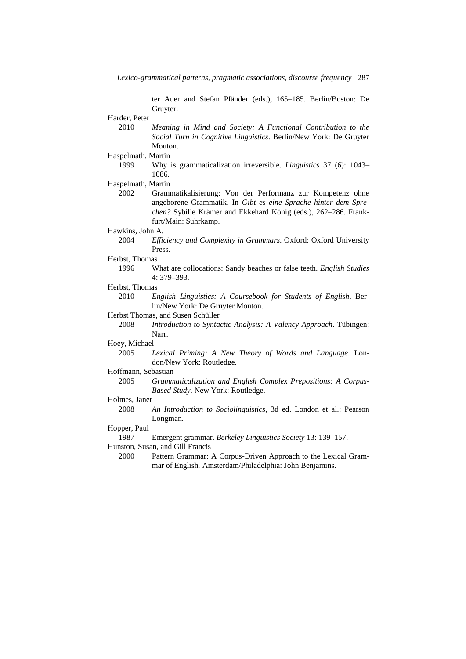ter Auer and Stefan Pfänder (eds.), 165–185. Berlin/Boston: De Gruyter.

- Harder, Peter
	- 2010 *Meaning in Mind and Society: A Functional Contribution to the Social Turn in Cognitive Linguistics*. Berlin/New York: De Gruyter Mouton.
- Haspelmath, Martin
	- 1999 Why is grammaticalization irreversible. *Linguistics* 37 (6): 1043– 1086.
- Haspelmath, Martin
	- 2002 Grammatikalisierung: Von der Performanz zur Kompetenz ohne angeborene Grammatik. In *Gibt es eine Sprache hinter dem Sprechen?* Sybille Krämer and Ekkehard König (eds.), 262–286. Frankfurt/Main: Suhrkamp.

### Hawkins, John A.

- 2004 *Efficiency and Complexity in Grammars*. Oxford: Oxford University Press.
- Herbst, Thomas
	- 1996 What are collocations: Sandy beaches or false teeth. *English Studies* 4: 379–393.
- Herbst, Thomas
	- 2010 *English Linguistics: A Coursebook for Students of English*. Berlin/New York: De Gruyter Mouton.
- Herbst Thomas, and Susen Schüller
	- 2008 *Introduction to Syntactic Analysis: A Valency Approach*. Tübingen: Narr.

### Hoey, Michael

2005 *Lexical Priming: A New Theory of Words and Language*. London/New York: Routledge.

#### Hoffmann, Sebastian

2005 *Grammaticalization and English Complex Prepositions: A Corpus-Based Study*. New York: Routledge.

### Holmes, Janet

2008 *An Introduction to Sociolinguistics*, 3d ed. London et al.: Pearson Longman.

### Hopper, Paul

- 1987 Emergent grammar. *Berkeley Linguistics Society* 13: 139–157.
- Hunston, Susan, and Gill Francis
	- 2000 Pattern Grammar: A Corpus-Driven Approach to the Lexical Grammar of English*.* Amsterdam/Philadelphia: John Benjamins.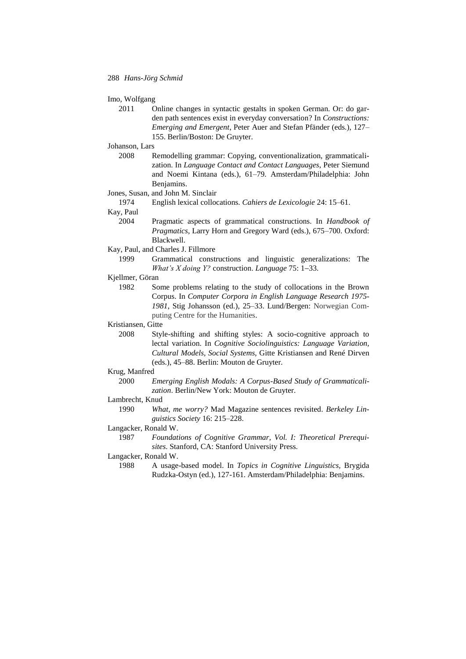Imo, Wolfgang

2011 Online changes in syntactic gestalts in spoken German. Or: do garden path sentences exist in everyday conversation? In *Constructions: Emerging and Emergent*, Peter Auer and Stefan Pfänder (eds.), 127– 155. Berlin/Boston: De Gruyter.

#### Johanson, Lars

2008 Remodelling grammar: Copying, conventionalization, grammaticalization. In *Language Contact and Contact Languages*, Peter Siemund and Noemi Kintana (eds.), 61–79. Amsterdam/Philadelphia: John Benjamins.

Jones, Susan, and John M. Sinclair

1974 English lexical collocations. *Cahiers de Lexicologie* 24: 15–61.

### Kay, Paul

- 2004 Pragmatic aspects of grammatical constructions. In *Handbook of Pragmatics*, Larry Horn and Gregory Ward (eds.), 675–700. Oxford: Blackwell.
- Kay, Paul, and Charles J. Fillmore
	- 1999 Grammatical constructions and linguistic generalizations: The *What's X doing Y?* construction. *Language* 75: 1-33.

#### Kjellmer, Göran

1982 Some problems relating to the study of collocations in the Brown Corpus. In *Computer Corpora in English Language Research 1975- 1981*, Stig Johansson (ed.), 25–33. Lund/Bergen: Norwegian Computing Centre for the Humanities.

#### Kristiansen, Gitte

2008 Style-shifting and shifting styles: A socio-cognitive approach to lectal variation. In *Cognitive Sociolinguistics: Language Variation, Cultural Models, Social Systems*, Gitte Kristiansen and René Dirven (eds.), 45–88. Berlin: Mouton de Gruyter.

### Krug, Manfred

2000 *Emerging English Modals: A Corpus-Based Study of Grammaticalization*. Berlin/New York: Mouton de Gruyter.

#### Lambrecht, Knud

- 1990 *What, me worry?* Mad Magazine sentences revisited. *Berkeley Linguistics Society* 16: 215–228.
- Langacker, Ronald W.
	- 1987 *Foundations of Cognitive Grammar, Vol. I: Theoretical Prerequisites*. Stanford, CA: Stanford University Press.

#### Langacker, Ronald W.

1988 A usage-based model. In *Topics in Cognitive Linguistics,* Brygida Rudzka-Ostyn (ed.), 127-161. Amsterdam/Philadelphia: Benjamins.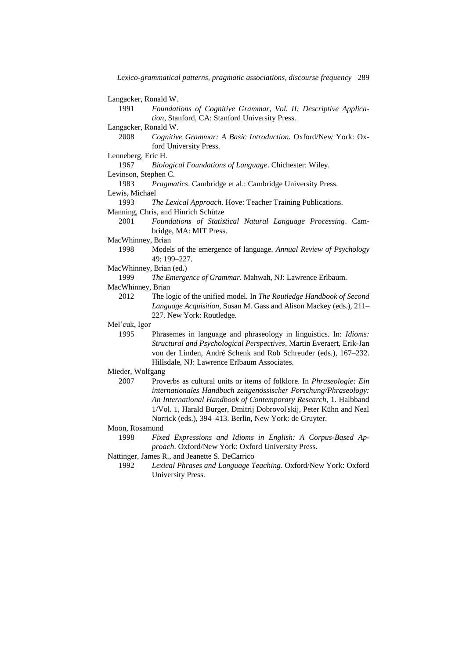Langacker, Ronald W.

- 1991 *Foundations of Cognitive Grammar*, *Vol. II: Descriptive Application*, Stanford, CA: Stanford University Press.
- Langacker, Ronald W.
	- 2008 *Cognitive Grammar: A Basic Introduction.* Oxford/New York: Oxford University Press.
- Lenneberg, Eric H.
- 1967 *Biological Foundations of Language*. Chichester: Wiley.

### Levinson, Stephen C.

- 1983 *Pragmatics*. Cambridge et al.: Cambridge University Press.
- Lewis, Michael
- 1993 *The Lexical Approach*. Hove: Teacher Training Publications.
- Manning, Chris, and [Hinrich Schütze](http://www-csli.stanford.edu/~schuetze)
	- 2001 *Foundations of Statistical Natural Language Processing*. Cambridge, MA: MIT Press.

### MacWhinney, Brian

- 1998 Models of the emergence of language. *Annual Review of Psychology* 49: 199–227.
- MacWhinney, Brian (ed.)
	- 1999 *The Emergence of Grammar*. Mahwah, NJ: Lawrence Erlbaum.

### MacWhinney, Brian

2012 The logic of the unified model. In *The Routledge Handbook of Second Language Acquisition*, Susan M. Gass and Alison Mackey (eds.), 211– 227. New York: Routledge.

### Mel'cuk, Igor

1995 Phrasemes in language and phraseology in linguistics. In: *Idioms: Structural and Psychological Perspectives*, Martin Everaert, Erik-Jan von der Linden, André Schenk and Rob Schreuder (eds.), 167–232. Hillsdale, NJ: Lawrence Erlbaum Associates.

#### Mieder, Wolfgang

2007 Proverbs as cultural units or items of folklore. In *Phraseologie: Ein internationales Handbuch zeitgenössischer Forschung/Phraseology: An International Handbook of Contemporary Research*, 1. Halbband 1/Vol. 1, Harald Burger, Dmitrij Dobrovol'skij, Peter Kühn and Neal Norrick (eds.), 394–413. Berlin, New York: de Gruyter.

#### Moon, Rosamund

- 1998 *Fixed Expressions and Idioms in English: A Corpus-Based Approach*. Oxford/New York: Oxford University Press.
- Nattinger, James R., and Jeanette S. DeCarrico
	- 1992 *Lexical Phrases and Language Teaching*. Oxford/New York: Oxford University Press.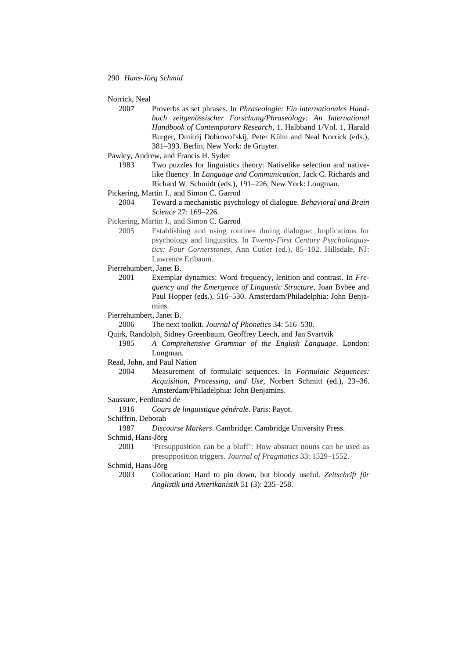Norrick, Neal

- 2007 Proverbs as set phrases. In *Phraseologie: Ein internationales Handbuch zeitgenössischer Forschung/Phraseology: An International Handbook of Contemporary Research*, 1. Halbband 1/Vol. 1, Harald Burger, Dmitrij Dobrovol'skij, Peter Kühn and Neal Norrick (eds.), 381–393. Berlin, New York: de Gruyter.
- Pawley, Andrew, and Francis H. Syder
	- 1983 Two puzzles for linguistics theory: Nativelike selection and nativelike fluency. In *Language and Communication,* Jack C. Richards and Richard W. Schmidt (eds.), 191–226, New York: Longman.
- Pickering, Martin J., and Simon C. Garrod
	- 2004 Toward a mechanistic psychology of dialogue. *Behavioral and Brain Science* 27: 169–226.
- Pickering, Martin J., and Simon C. [Garrod](http://eprints.gla.ac.uk/view/author/11413.html) 
	- 2005 Establishing and using routines during dialogue: Implications for psychology and linguistics. In *Twenty-First Century Psycholinguistics: Four Cornerstones*, Ann Cutler (ed.), 85–102. Hillsdale, NJ: Lawrence Erlbaum.
- Pierrehumbert, Janet B.
	- 2001 Exemplar dynamics: Word frequency, lenition and contrast. In *Frequency and the Emergence of Linguistic Structure*, Joan Bybee and Paul Hopper (eds.), 516–530. Amsterdam/Philadelphia: John Benjamins.

Pierrehumbert, Janet B.

- 2006 The next toolkit. *Journal of Phonetics* 34: 516–530.
- Quirk, Randolph, Sidney Greenbaum, Geoffrey Leech, and Jan Svartvik
	- 1985 *A Comprehensive Grammar of the English Language*. London: Longman.
- Read, John, and Paul Nation
	- 2004 Measurement of formulaic sequences. In *Formulaic Sequences: Acquisition, Processing, and Use*, Norbert Schmitt (ed.), 23–36. Amsterdam/Philadelphia: John Benjamins.
- Saussure, Ferdinand de
- 1916 *Cours de linguistique générale*. Paris: Payot.
- Schiffrin, Deborah
	- 1987 *Discourse Markers*. Cambridge: Cambridge University Press.

Schmid, Hans-Jörg

2001 'Presupposition can be a bluff': How abstract nouns can be used as presupposition triggers. *Journal of Pragmatics* 33: 1529–1552.

### Schmid, Hans-Jörg

2003 Collocation: Hard to pin down, but bloody useful. *Zeitschrift für Anglistik und Amerikanistik* 51 (3): 235–258.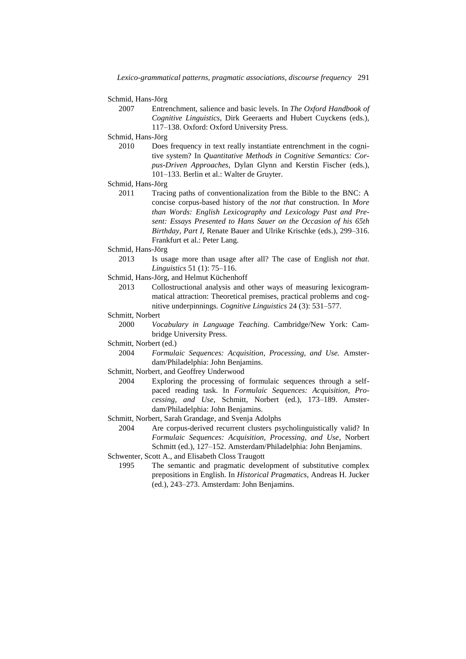Schmid, Hans-Jörg<br>2007 Entre

- Entrenchment, salience and basic levels. In *The Oxford Handbook of Cognitive Linguistics*, Dirk Geeraerts and Hubert Cuyckens (eds.), 117–138. Oxford: Oxford University Press.
- Schmid, Hans-Jörg
	- 2010 Does frequency in text really instantiate entrenchment in the cognitive system? In *Quantitative Methods in Cognitive Semantics: Corpus-Driven Approaches*, Dylan Glynn and Kerstin Fischer (eds.), 101–133. Berlin et al.: Walter de Gruyter.
- Schmid, Hans-Jörg
	- 2011 Tracing paths of conventionalization from the Bible to the BNC: A concise corpus-based history of the *not that* construction. In *More than Words: English Lexicography and Lexicology Past and Present: Essays Presented to Hans Sauer on the Occasion of his 65th Birthday, Part I*, Renate Bauer and Ulrike Krischke (eds.), 299–316. Frankfurt et al.: Peter Lang.
- Schmid, Hans-Jörg
	- 2013 Is usage more than usage after all? The case of English *not that*. *Linguistics* 51 (1): 75–116.
- Schmid, Hans-Jörg, and Helmut Küchenhoff
	- 2013 Collostructional analysis and other ways of measuring lexicogrammatical attraction: Theoretical premises, practical problems and cognitive underpinnings. *Cognitive Linguistics* 24 (3): 531–577.
- Schmitt, Norbert
	- 2000 *Vocabulary in Language Teaching*. Cambridge/New York: Cambridge University Press.
- Schmitt, Norbert (ed.)
	- 2004 *Formulaic Sequences: Acquisition, Processing, and Use.* Amsterdam/Philadelphia: John Benjamins.
- Schmitt, Norbert, and Geoffrey Underwood
	- 2004 Exploring the processing of formulaic sequences through a selfpaced reading task. In *Formulaic Sequences: Acquisition, Processing, and Use*, Schmitt, Norbert (ed.), 173–189. Amsterdam/Philadelphia: John Benjamins.
- Schmitt, Norbert, Sarah Grandage, and Svenja Adolphs
	- 2004 Are corpus-derived recurrent clusters psycholinguistically valid? In *Formulaic Sequences: Acquisition, Processing, and Use*, Norbert Schmitt (ed.), 127–152. Amsterdam/Philadelphia: John Benjamins.
- Schwenter, Scott A., and Elisabeth Closs Traugott
	- 1995 The semantic and pragmatic development of substitutive complex prepositions in English. In *Historical Pragmatics*, Andreas H. Jucker (ed.), 243–273. Amsterdam: John Benjamins.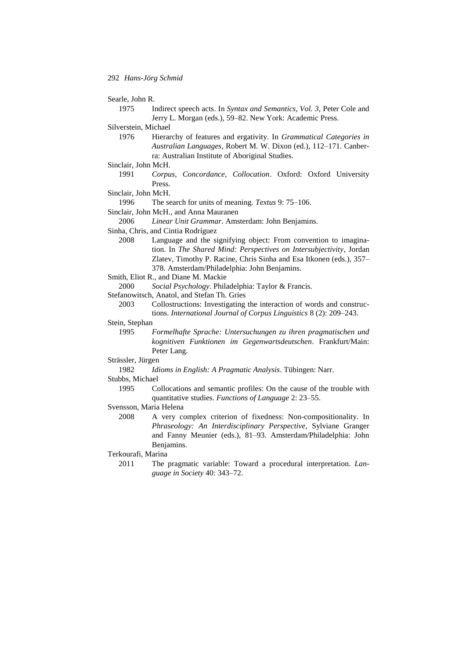Searle, John R.

1975 Indirect speech acts. In *Syntax and Semantics, Vol. 3*, Peter Cole and Jerry L. Morgan (eds.), 59–82. New York: Academic Press.

Silverstein, Michael

- 1976 Hierarchy of features and ergativity. In *Grammatical Categories in Australian Languages*, Robert M. W. Dixon (ed.), 112–171. Canberra: Australian Institute of Aboriginal Studies.
- Sinclair, John McH.
	- 1991 *Corpus, Concordance, Collocation*. Oxford: Oxford University Press.
- Sinclair, John McH.
- 1996 The search for units of meaning. *Textus* 9: 75–106.
- Sinclair, John McH., and Anna Mauranen
- 2006 *Linear Unit Grammar*. Amsterdam: John Benjamins.
- Sinha, Chris, and Cintia Rodríguez
	- 2008 Language and the signifying object: From convention to imagination. In *The Shared Mind: Perspectives on Intersubjectivity*, Jordan Zlatev, Timothy P. Racine, Chris Sinha and Esa Itkonen (eds.), 357– 378. Amsterdam/Philadelphia: John Benjamins.
- Smith, Eliot R., and Diane M. Mackie<br>2000 Social Psychology. Phila
- Social Psychology. Philadelphia: Taylor & Francis.
- Stefanowitsch, Anatol, and Stefan Th. Gries
	- 2003 Collostructions: Investigating the interaction of words and constructions. *International Journal of Corpus Linguistics* 8 (2): 209–243.
- Stein, Stephan
	- 1995 *Formelhafte Sprache: Untersuchungen zu ihren pragmatischen und kognitiven Funktionen im Gegenwartsdeutschen*. Frankfurt/Main: Peter Lang.

### Strässler, Jürgen

1982 *Idioms in English: A Pragmatic Analysis*. Tübingen: Narr.

Stubbs, Michael

- 1995 Collocations and semantic profiles: On the cause of the trouble with quantitative studies. *Functions of Language* 2: 23–55.
- Svensson, Maria Helena
	- 2008 A very complex criterion of fixedness: Non-compositionality. In *Phraseology: An Interdisciplinary Perspective*, Sylviane Granger and Fanny Meunier (eds.), 81–93. Amsterdam/Philadelphia: John Benjamins.
- Terkourafi, Marina
	- 2011 The pragmatic variable: Toward a procedural interpretation. *Language in Society* 40: 343–72.